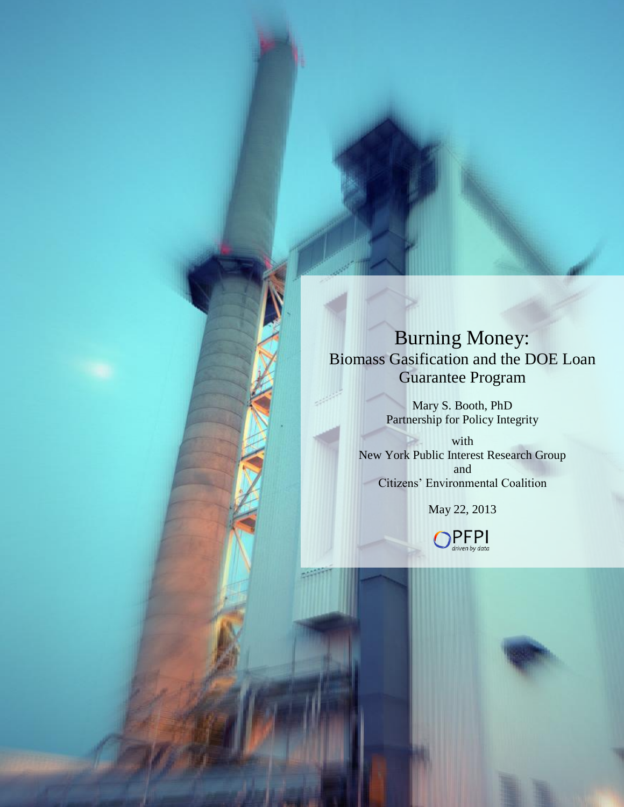# Burning Money: Biomass Gasification and the DOE Loan Guarantee Program

Mary S. Booth, PhD Partnership for Policy Integrity

with New York Public Interest Research Group and Citizens' Environmental Coalition

May 22, 2013

 $PFP<sub>driven by data</sub>$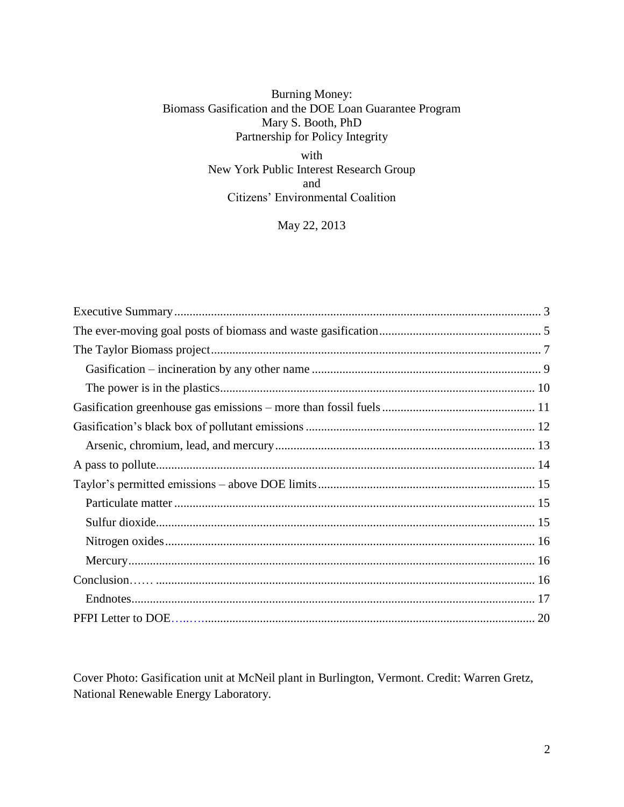# **Burning Money:** Biomass Gasification and the DOE Loan Guarantee Program Mary S. Booth, PhD Partnership for Policy Integrity

with New York Public Interest Research Group and Citizens' Environmental Coalition

May 22, 2013

Cover Photo: Gasification unit at McNeil plant in Burlington, Vermont. Credit: Warren Gretz, National Renewable Energy Laboratory.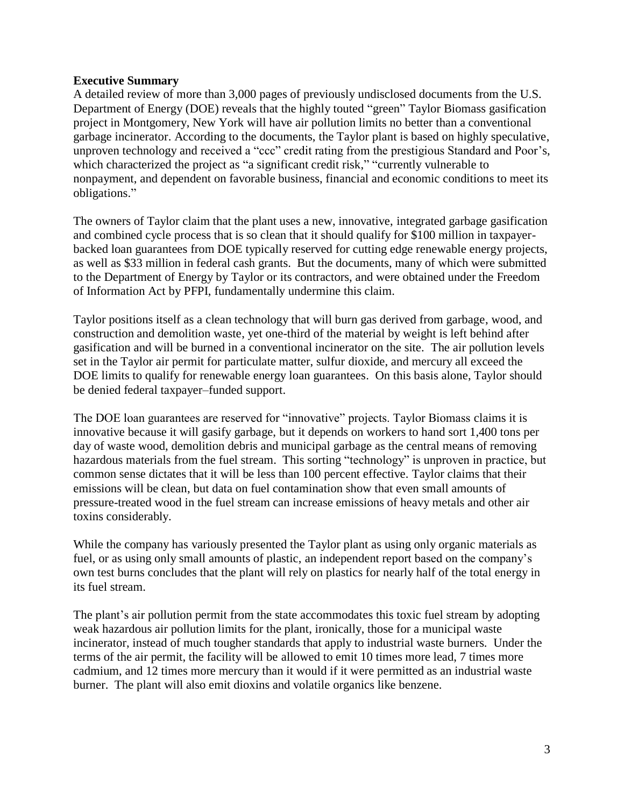# <span id="page-2-0"></span>**Executive Summary**

A detailed review of more than 3,000 pages of previously undisclosed documents from the U.S. Department of Energy (DOE) reveals that the highly touted "green" Taylor Biomass gasification project in Montgomery, New York will have air pollution limits no better than a conventional garbage incinerator. According to the documents, the Taylor plant is based on highly speculative, unproven technology and received a "ccc" credit rating from the prestigious Standard and Poor's, which characterized the project as "a significant credit risk," "currently vulnerable to nonpayment, and dependent on favorable business, financial and economic conditions to meet its obligations."

The owners of Taylor claim that the plant uses a new, innovative, integrated garbage gasification and combined cycle process that is so clean that it should qualify for \$100 million in taxpayerbacked loan guarantees from DOE typically reserved for cutting edge renewable energy projects, as well as \$33 million in federal cash grants. But the documents, many of which were submitted to the Department of Energy by Taylor or its contractors, and were obtained under the Freedom of Information Act by PFPI, fundamentally undermine this claim.

Taylor positions itself as a clean technology that will burn gas derived from garbage, wood, and construction and demolition waste, yet one-third of the material by weight is left behind after gasification and will be burned in a conventional incinerator on the site. The air pollution levels set in the Taylor air permit for particulate matter, sulfur dioxide, and mercury all exceed the DOE limits to qualify for renewable energy loan guarantees. On this basis alone, Taylor should be denied federal taxpayer–funded support.

The DOE loan guarantees are reserved for "innovative" projects. Taylor Biomass claims it is innovative because it will gasify garbage, but it depends on workers to hand sort 1,400 tons per day of waste wood, demolition debris and municipal garbage as the central means of removing hazardous materials from the fuel stream. This sorting "technology" is unproven in practice, but common sense dictates that it will be less than 100 percent effective. Taylor claims that their emissions will be clean, but data on fuel contamination show that even small amounts of pressure-treated wood in the fuel stream can increase emissions of heavy metals and other air toxins considerably.

While the company has variously presented the Taylor plant as using only organic materials as fuel, or as using only small amounts of plastic, an independent report based on the company's own test burns concludes that the plant will rely on plastics for nearly half of the total energy in its fuel stream.

The plant's air pollution permit from the state accommodates this toxic fuel stream by adopting weak hazardous air pollution limits for the plant, ironically, those for a municipal waste incinerator, instead of much tougher standards that apply to industrial waste burners. Under the terms of the air permit, the facility will be allowed to emit 10 times more lead, 7 times more cadmium, and 12 times more mercury than it would if it were permitted as an industrial waste burner. The plant will also emit dioxins and volatile organics like benzene.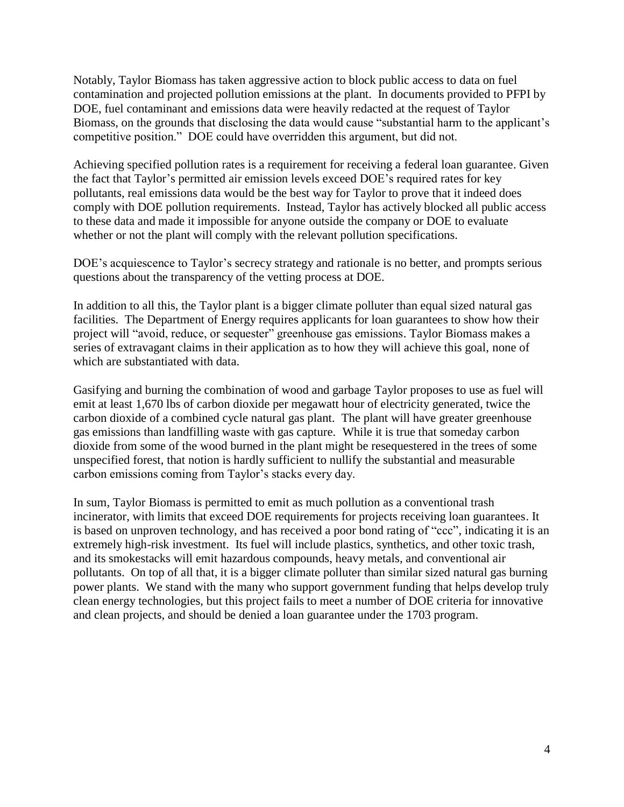Notably, Taylor Biomass has taken aggressive action to block public access to data on fuel contamination and projected pollution emissions at the plant. In documents provided to PFPI by DOE, fuel contaminant and emissions data were heavily redacted at the request of Taylor Biomass, on the grounds that disclosing the data would cause "substantial harm to the applicant's competitive position." DOE could have overridden this argument, but did not.

Achieving specified pollution rates is a requirement for receiving a federal loan guarantee. Given the fact that Taylor's permitted air emission levels exceed DOE's required rates for key pollutants, real emissions data would be the best way for Taylor to prove that it indeed does comply with DOE pollution requirements. Instead, Taylor has actively blocked all public access to these data and made it impossible for anyone outside the company or DOE to evaluate whether or not the plant will comply with the relevant pollution specifications.

DOE's acquiescence to Taylor's secrecy strategy and rationale is no better, and prompts serious questions about the transparency of the vetting process at DOE.

In addition to all this, the Taylor plant is a bigger climate polluter than equal sized natural gas facilities. The Department of Energy requires applicants for loan guarantees to show how their project will "avoid, reduce, or sequester" greenhouse gas emissions. Taylor Biomass makes a series of extravagant claims in their application as to how they will achieve this goal, none of which are substantiated with data.

Gasifying and burning the combination of wood and garbage Taylor proposes to use as fuel will emit at least 1,670 lbs of carbon dioxide per megawatt hour of electricity generated, twice the carbon dioxide of a combined cycle natural gas plant. The plant will have greater greenhouse gas emissions than landfilling waste with gas capture. While it is true that someday carbon dioxide from some of the wood burned in the plant might be resequestered in the trees of some unspecified forest, that notion is hardly sufficient to nullify the substantial and measurable carbon emissions coming from Taylor's stacks every day.

In sum, Taylor Biomass is permitted to emit as much pollution as a conventional trash incinerator, with limits that exceed DOE requirements for projects receiving loan guarantees. It is based on unproven technology, and has received a poor bond rating of "ccc", indicating it is an extremely high-risk investment. Its fuel will include plastics, synthetics, and other toxic trash, and its smokestacks will emit hazardous compounds, heavy metals, and conventional air pollutants. On top of all that, it is a bigger climate polluter than similar sized natural gas burning power plants. We stand with the many who support government funding that helps develop truly clean energy technologies, but this project fails to meet a number of DOE criteria for innovative and clean projects, and should be denied a loan guarantee under the 1703 program.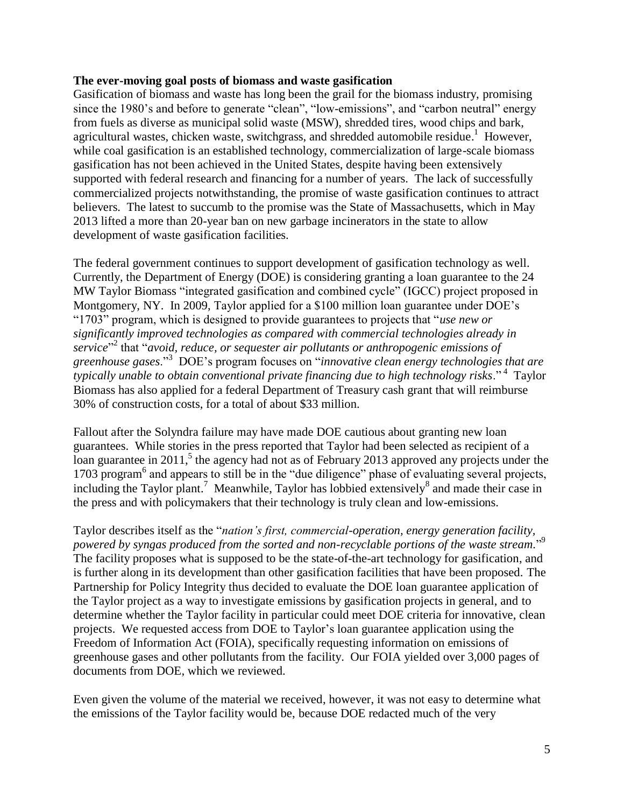#### <span id="page-4-0"></span>**The ever-moving goal posts of biomass and waste gasification**

Gasification of biomass and waste has long been the grail for the biomass industry, promising since the 1980's and before to generate "clean", "low-emissions", and "carbon neutral" energy from fuels as diverse as municipal solid waste (MSW), shredded tires, wood chips and bark, agricultural wastes, chicken waste, switchgrass, and shredded automobile residue.<sup>1</sup> However, while coal gasification is an established technology, commercialization of large-scale biomass gasification has not been achieved in the United States, despite having been extensively supported with federal research and financing for a number of years. The lack of successfully commercialized projects notwithstanding, the promise of waste gasification continues to attract believers. The latest to succumb to the promise was the State of Massachusetts, which in May 2013 lifted a more than 20-year ban on new garbage incinerators in the state to allow development of waste gasification facilities.

The federal government continues to support development of gasification technology as well. Currently, the Department of Energy (DOE) is considering granting a loan guarantee to the 24 MW Taylor Biomass "integrated gasification and combined cycle" (IGCC) project proposed in Montgomery, NY. In 2009, Taylor applied for a \$100 million loan guarantee under DOE's "1703" program, which is designed to provide guarantees to projects that "*use new or significantly improved technologies as compared with commercial technologies already in*  service<sup>"2</sup> that "*avoid, reduce, or sequester air pollutants or anthropogenic emissions of greenhouse gases*."<sup>3</sup> DOE's program focuses on "*innovative clean energy technologies that are typically unable to obtain conventional private financing due to high technology risks*." <sup>4</sup> Taylor Biomass has also applied for a federal Department of Treasury cash grant that will reimburse 30% of construction costs, for a total of about \$33 million.

Fallout after the Solyndra failure may have made DOE cautious about granting new loan guarantees. While stories in the press reported that Taylor had been selected as recipient of a  $\frac{1}{2}$  loan guarantee in 2011,<sup>5</sup> the agency had not as of February 2013 approved any projects under the 1703 program<sup>6</sup> and appears to still be in the "due diligence" phase of evaluating several projects, including the Taylor plant.<sup>7</sup> Meanwhile, Taylor has lobbied extensively<sup>8</sup> and made their case in the press and with policymakers that their technology is truly clean and low-emissions.

Taylor describes itself as the "*nation's first, commercial-operation, energy generation facility, powered by syngas produced from the sorted and non-recyclable portions of the waste stream.*" 9 The facility proposes what is supposed to be the state-of-the-art technology for gasification, and is further along in its development than other gasification facilities that have been proposed. The Partnership for Policy Integrity thus decided to evaluate the DOE loan guarantee application of the Taylor project as a way to investigate emissions by gasification projects in general, and to determine whether the Taylor facility in particular could meet DOE criteria for innovative, clean projects. We requested access from DOE to Taylor's loan guarantee application using the Freedom of Information Act (FOIA), specifically requesting information on emissions of greenhouse gases and other pollutants from the facility. Our FOIA yielded over 3,000 pages of documents from DOE, which we reviewed.

Even given the volume of the material we received, however, it was not easy to determine what the emissions of the Taylor facility would be, because DOE redacted much of the very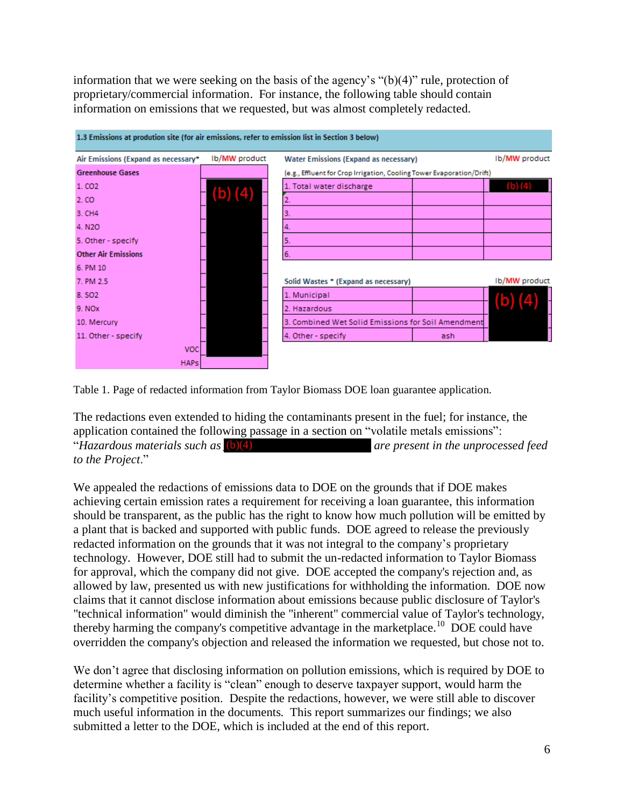information that we were seeking on the basis of the agency's "(b)(4)" rule, protection of proprietary/commercial information. For instance, the following table should contain information on emissions that we requested, but was almost completely redacted.



Table 1. Page of redacted information from Taylor Biomass DOE loan guarantee application.

The redactions even extended to hiding the contaminants present in the fuel; for instance, the application contained the following passage in a section on "volatile metals emissions": "*Hazardous materials such as* (b)(4)  $\qquad \qquad$  *are present in the unprocessed feed to the Project*."

We appealed the redactions of emissions data to DOE on the grounds that if DOE makes achieving certain emission rates a requirement for receiving a loan guarantee, this information should be transparent, as the public has the right to know how much pollution will be emitted by a plant that is backed and supported with public funds. DOE agreed to release the previously redacted information on the grounds that it was not integral to the company's proprietary technology. However, DOE still had to submit the un-redacted information to Taylor Biomass for approval, which the company did not give. DOE accepted the company's rejection and, as allowed by law, presented us with new justifications for withholding the information. DOE now claims that it cannot disclose information about emissions because public disclosure of Taylor's "technical information" would diminish the "inherent" commercial value of Taylor's technology, thereby harming the company's competitive advantage in the marketplace.<sup>10</sup> DOE could have overridden the company's objection and released the information we requested, but chose not to.

We don't agree that disclosing information on pollution emissions, which is required by DOE to determine whether a facility is "clean" enough to deserve taxpayer support, would harm the facility's competitive position. Despite the redactions, however, we were still able to discover much useful information in the documents. This report summarizes our findings; we also submitted a letter to the DOE, which is included at the end of this report.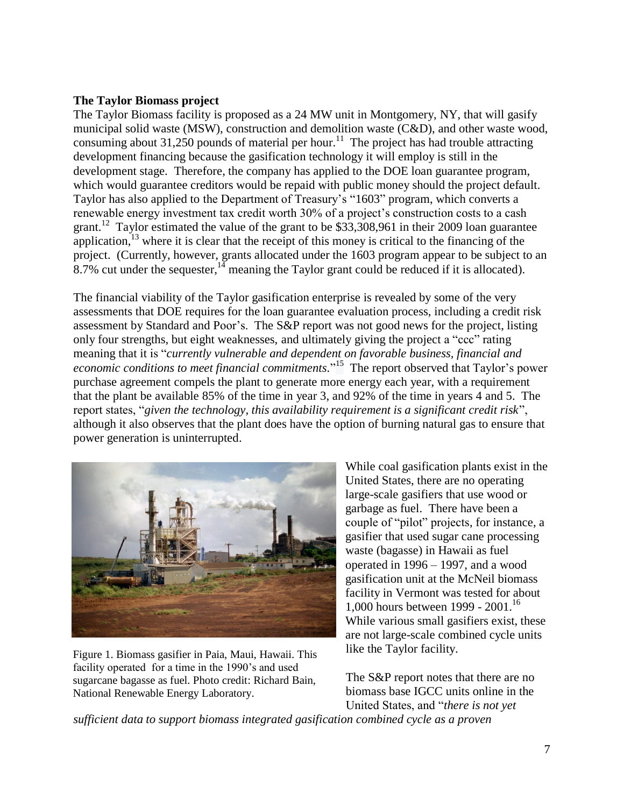# <span id="page-6-0"></span>**The Taylor Biomass project**

The Taylor Biomass facility is proposed as a 24 MW unit in Montgomery, NY, that will gasify municipal solid waste (MSW), construction and demolition waste (C&D), and other waste wood, consuming about 31,250 pounds of material per hour.<sup>11</sup> The project has had trouble attracting development financing because the gasification technology it will employ is still in the development stage. Therefore, the company has applied to the DOE loan guarantee program, which would guarantee creditors would be repaid with public money should the project default. Taylor has also applied to the Department of Treasury's "1603" program, which converts a renewable energy investment tax credit worth 30% of a project's construction costs to a cash grant.<sup>12</sup> Taylor estimated the value of the grant to be \$33,308,961 in their 2009 loan guarantee application,<sup>13</sup> where it is clear that the receipt of this money is critical to the financing of the project. (Currently, however, grants allocated under the 1603 program appear to be subject to an 8.7% cut under the sequester, $14$  meaning the Taylor grant could be reduced if it is allocated).

The financial viability of the Taylor gasification enterprise is revealed by some of the very assessments that DOE requires for the loan guarantee evaluation process, including a credit risk assessment by Standard and Poor's. The S&P report was not good news for the project, listing only four strengths, but eight weaknesses, and ultimately giving the project a "ccc" rating meaning that it is "*currently vulnerable and dependent on favorable business, financial and*  economic conditions to meet financial commitments."<sup>15</sup> The report observed that Taylor's power purchase agreement compels the plant to generate more energy each year, with a requirement that the plant be available 85% of the time in year 3, and 92% of the time in years 4 and 5. The report states, "*given the technology, this availability requirement is a significant credit risk*", although it also observes that the plant does have the option of burning natural gas to ensure that power generation is uninterrupted.



Figure 1. Biomass gasifier in Paia, Maui, Hawaii. This facility operated for a time in the 1990's and used sugarcane bagasse as fuel. Photo credit: Richard Bain, National Renewable Energy Laboratory.

While coal gasification plants exist in the United States, there are no operating large-scale gasifiers that use wood or garbage as fuel. There have been a couple of "pilot" projects, for instance, a gasifier that used sugar cane processing waste (bagasse) in Hawaii as fuel operated in 1996 – 1997, and a wood gasification unit at the McNeil biomass facility in Vermont was tested for about 1,000 hours between 1999 - 2001.<sup>16</sup> While various small gasifiers exist, these are not large-scale combined cycle units like the Taylor facility.

The S&P report notes that there are no biomass base IGCC units online in the United States, and "*there is not yet* 

*sufficient data to support biomass integrated gasification combined cycle as a proven*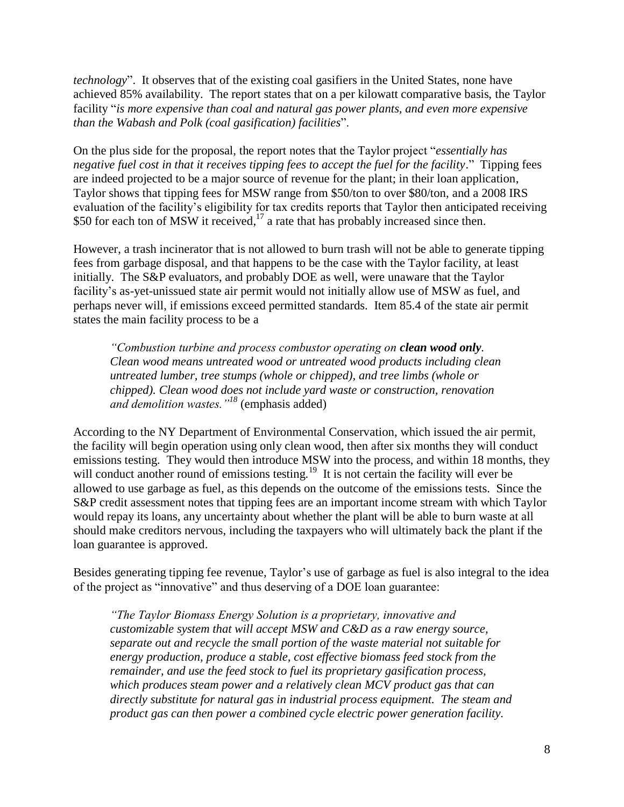*technology*". It observes that of the existing coal gasifiers in the United States, none have achieved 85% availability. The report states that on a per kilowatt comparative basis, the Taylor facility "*is more expensive than coal and natural gas power plants, and even more expensive than the Wabash and Polk (coal gasification) facilities*".

On the plus side for the proposal, the report notes that the Taylor project "*essentially has negative fuel cost in that it receives tipping fees to accept the fuel for the facility.*" Tipping fees are indeed projected to be a major source of revenue for the plant; in their loan application, Taylor shows that tipping fees for MSW range from \$50/ton to over \$80/ton, and a 2008 IRS evaluation of the facility's eligibility for tax credits reports that Taylor then anticipated receiving \$50 for each ton of MSW it received, $17$  a rate that has probably increased since then.

However, a trash incinerator that is not allowed to burn trash will not be able to generate tipping fees from garbage disposal, and that happens to be the case with the Taylor facility, at least initially. The S&P evaluators, and probably DOE as well, were unaware that the Taylor facility's as-yet-unissued state air permit would not initially allow use of MSW as fuel, and perhaps never will, if emissions exceed permitted standards. Item 85.4 of the state air permit states the main facility process to be a

*"Combustion turbine and process combustor operating on clean wood only. Clean wood means untreated wood or untreated wood products including clean untreated lumber, tree stumps (whole or chipped), and tree limbs (whole or chipped). Clean wood does not include yard waste or construction, renovation and demolition wastes."<sup>18</sup>* (emphasis added)

According to the NY Department of Environmental Conservation, which issued the air permit, the facility will begin operation using only clean wood, then after six months they will conduct emissions testing. They would then introduce MSW into the process, and within 18 months, they will conduct another round of emissions testing.<sup>19</sup> It is not certain the facility will ever be allowed to use garbage as fuel, as this depends on the outcome of the emissions tests. Since the S&P credit assessment notes that tipping fees are an important income stream with which Taylor would repay its loans, any uncertainty about whether the plant will be able to burn waste at all should make creditors nervous, including the taxpayers who will ultimately back the plant if the loan guarantee is approved.

Besides generating tipping fee revenue, Taylor's use of garbage as fuel is also integral to the idea of the project as "innovative" and thus deserving of a DOE loan guarantee:

*"The Taylor Biomass Energy Solution is a proprietary, innovative and customizable system that will accept MSW and C&D as a raw energy source, separate out and recycle the small portion of the waste material not suitable for energy production, produce a stable, cost effective biomass feed stock from the remainder, and use the feed stock to fuel its proprietary gasification process, which produces steam power and a relatively clean MCV product gas that can directly substitute for natural gas in industrial process equipment. The steam and product gas can then power a combined cycle electric power generation facility.*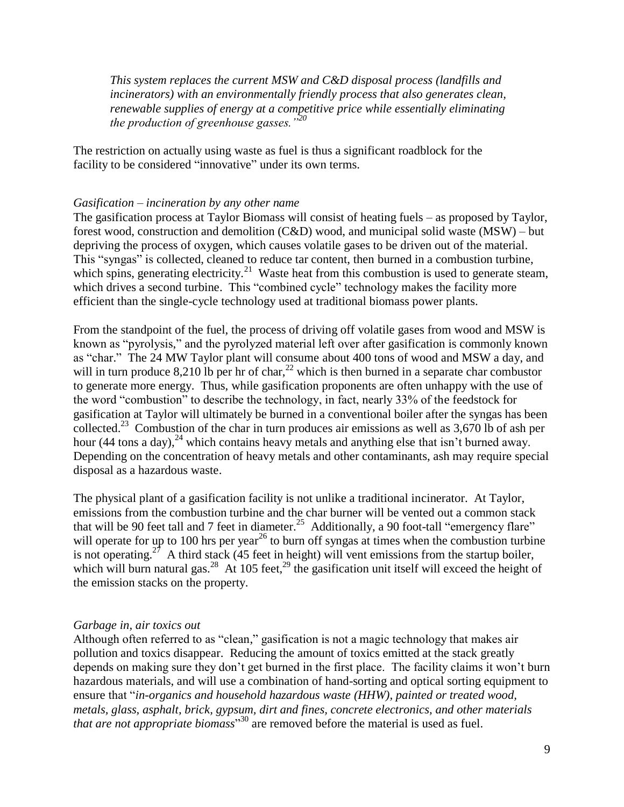*This system replaces the current MSW and C&D disposal process (landfills and incinerators) with an environmentally friendly process that also generates clean, renewable supplies of energy at a competitive price while essentially eliminating the production of greenhouse gasses."<sup>20</sup>*

The restriction on actually using waste as fuel is thus a significant roadblock for the facility to be considered "innovative" under its own terms.

# <span id="page-8-0"></span>*Gasification – incineration by any other name*

The gasification process at Taylor Biomass will consist of heating fuels – as proposed by Taylor, forest wood, construction and demolition (C&D) wood, and municipal solid waste (MSW) – but depriving the process of oxygen, which causes volatile gases to be driven out of the material. This "syngas" is collected, cleaned to reduce tar content, then burned in a combustion turbine, which spins, generating electricity.<sup>21</sup> Waste heat from this combustion is used to generate steam, which drives a second turbine. This "combined cycle" technology makes the facility more efficient than the single-cycle technology used at traditional biomass power plants.

From the standpoint of the fuel, the process of driving off volatile gases from wood and MSW is known as "pyrolysis," and the pyrolyzed material left over after gasification is commonly known as "char." The 24 MW Taylor plant will consume about 400 tons of wood and MSW a day, and will in turn produce 8,210 lb per hr of char,<sup>22</sup> which is then burned in a separate char combustor to generate more energy. Thus, while gasification proponents are often unhappy with the use of the word "combustion" to describe the technology, in fact, nearly 33% of the feedstock for gasification at Taylor will ultimately be burned in a conventional boiler after the syngas has been collected.<sup>23</sup> Combustion of the char in turn produces air emissions as well as  $3,670$  lb of ash per hour (44 tons a day),  $^{24}$  which contains heavy metals and anything else that isn't burned away. Depending on the concentration of heavy metals and other contaminants, ash may require special disposal as a hazardous waste.

The physical plant of a gasification facility is not unlike a traditional incinerator. At Taylor, emissions from the combustion turbine and the char burner will be vented out a common stack that will be 90 feet tall and 7 feet in diameter.<sup>25</sup> Additionally, a 90 foot-tall "emergency flare" will operate for up to 100 hrs per year<sup>26</sup> to burn off syngas at times when the combustion turbine is not operating.<sup>27</sup> A third stack (45 feet in height) will vent emissions from the startup boiler, which will burn natural gas.<sup>28</sup> At 105 feet,<sup>29</sup> the gasification unit itself will exceed the height of the emission stacks on the property.

## *Garbage in, air toxics out*

Although often referred to as "clean," gasification is not a magic technology that makes air pollution and toxics disappear. Reducing the amount of toxics emitted at the stack greatly depends on making sure they don't get burned in the first place. The facility claims it won't burn hazardous materials, and will use a combination of hand-sorting and optical sorting equipment to ensure that "*in-organics and household hazardous waste (HHW), painted or treated wood, metals, glass, asphalt, brick, gypsum, dirt and fines, concrete electronics, and other materials that are not appropriate biomass*" <sup>30</sup> are removed before the material is used as fuel.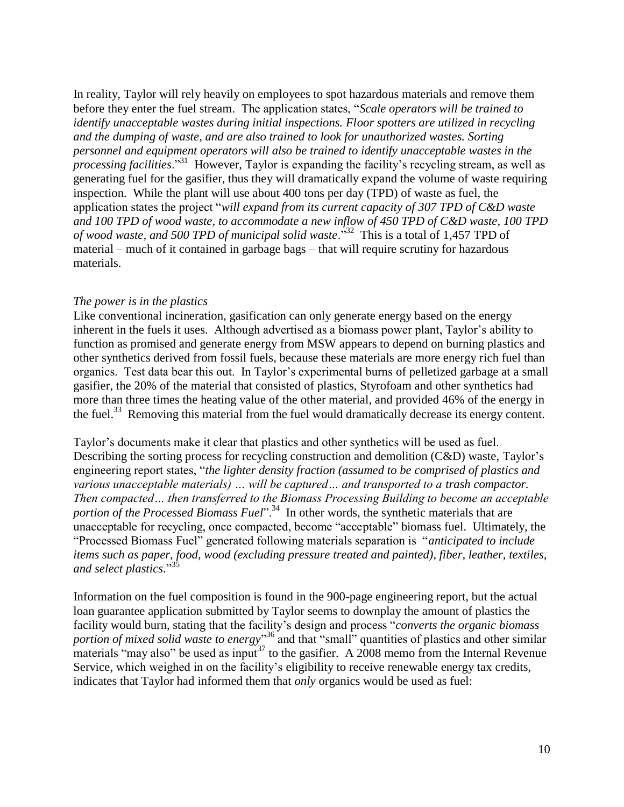In reality, Taylor will rely heavily on employees to spot hazardous materials and remove them before they enter the fuel stream. The application states, "*Scale operators will be trained to identify unacceptable wastes during initial inspections. Floor spotters are utilized in recycling and the dumping of waste, and are also trained to look for unauthorized wastes. Sorting personnel and equipment operators will also be trained to identify unacceptable wastes in the processing facilities*."<sup>31</sup> However, Taylor is expanding the facility's recycling stream, as well as generating fuel for the gasifier, thus they will dramatically expand the volume of waste requiring inspection. While the plant will use about 400 tons per day (TPD) of waste as fuel, the application states the project "*will expand from its current capacity of 307 TPD of C&D waste and 100 TPD of wood waste, to accommodate a new inflow of 450 TPD of C&D waste, 100 TPD of wood waste, and 500 TPD of municipal solid waste*."<sup>32</sup> This is a total of 1,457 TPD of material – much of it contained in garbage bags – that will require scrutiny for hazardous materials.

# <span id="page-9-0"></span>*The power is in the plastics*

Like conventional incineration, gasification can only generate energy based on the energy inherent in the fuels it uses. Although advertised as a biomass power plant, Taylor's ability to function as promised and generate energy from MSW appears to depend on burning plastics and other synthetics derived from fossil fuels, because these materials are more energy rich fuel than organics. Test data bear this out. In Taylor's experimental burns of pelletized garbage at a small gasifier, the 20% of the material that consisted of plastics, Styrofoam and other synthetics had more than three times the heating value of the other material, and provided 46% of the energy in the fuel.<sup>33</sup> Removing this material from the fuel would dramatically decrease its energy content.

Taylor's documents make it clear that plastics and other synthetics will be used as fuel. Describing the sorting process for recycling construction and demolition (C&D) waste, Taylor's engineering report states, "*the lighter density fraction (assumed to be comprised of plastics and various unacceptable materials) … will be captured… and transported to a trash compactor. Then compacted… then transferred to the Biomass Processing Building to become an acceptable portion of the Processed Biomass Fuel*".<sup>34</sup> In other words, the synthetic materials that are unacceptable for recycling, once compacted, become "acceptable" biomass fuel. Ultimately, the "Processed Biomass Fuel" generated following materials separation is "*anticipated to include items such as paper, food, wood (excluding pressure treated and painted), fiber, leather, textiles, and select plastics.*" 35

Information on the fuel composition is found in the 900-page engineering report, but the actual loan guarantee application submitted by Taylor seems to downplay the amount of plastics the facility would burn, stating that the facility's design and process "*converts the organic biomass*  portion of mixed solid waste to energy<sup>"36</sup> and that "small" quantities of plastics and other similar materials "may also" be used as input<sup>37</sup> to the gasifier. A 2008 memo from the Internal Revenue Service, which weighed in on the facility's eligibility to receive renewable energy tax credits, indicates that Taylor had informed them that *only* organics would be used as fuel: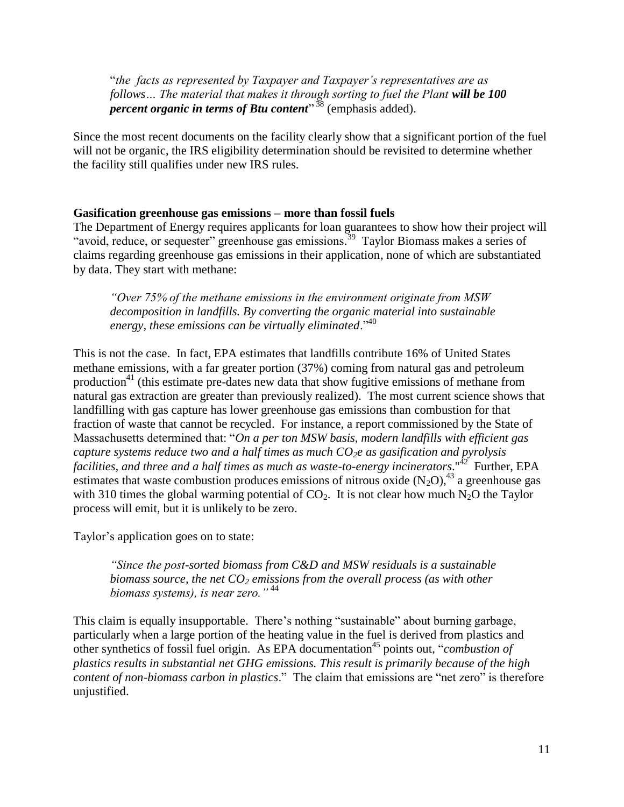"*the facts as represented by Taxpayer and Taxpayer's representatives are as follows... The material that makes it through sorting to fuel the Plant will be 100 percent organic in terms of Btu content*" <sup>38</sup> (emphasis added).

Since the most recent documents on the facility clearly show that a significant portion of the fuel will not be organic, the IRS eligibility determination should be revisited to determine whether the facility still qualifies under new IRS rules.

## <span id="page-10-0"></span>**Gasification greenhouse gas emissions – more than fossil fuels**

The Department of Energy requires applicants for loan guarantees to show how their project will "avoid, reduce, or sequester" greenhouse gas emissions. <sup>39</sup> Taylor Biomass makes a series of claims regarding greenhouse gas emissions in their application, none of which are substantiated by data. They start with methane:

*"Over 75% of the methane emissions in the environment originate from MSW decomposition in landfills. By converting the organic material into sustainable energy, these emissions can be virtually eliminated*."<sup>40</sup>

This is not the case. In fact, EPA estimates that landfills contribute 16% of United States methane emissions, with a far greater portion (37%) coming from natural gas and petroleum production<sup>41</sup> (this estimate pre-dates new data that show fugitive emissions of methane from natural gas extraction are greater than previously realized). The most current science shows that landfilling with gas capture has lower greenhouse gas emissions than combustion for that fraction of waste that cannot be recycled. For instance, a report commissioned by the State of Massachusetts determined that: "*On a per ton MSW basis, modern landfills with efficient gas capture systems reduce two and a half times as much CO2e as gasification and pyrolysis facilities, and three and a half times as much as waste-to-energy incinerators*."<sup>42</sup> Further, EPA estimates that waste combustion produces emissions of nitrous oxide  $(N_2O)$ ,<sup>43</sup> a greenhouse gas with 310 times the global warming potential of  $CO<sub>2</sub>$ . It is not clear how much N<sub>2</sub>O the Taylor process will emit, but it is unlikely to be zero.

Taylor's application goes on to state:

*"Since the post-sorted biomass from C&D and MSW residuals is a sustainable biomass source, the net CO<sup>2</sup> emissions from the overall process (as with other biomass systems), is near zero."* <sup>44</sup>

This claim is equally insupportable. There's nothing "sustainable" about burning garbage, particularly when a large portion of the heating value in the fuel is derived from plastics and other synthetics of fossil fuel origin. As EPA documentation<sup>45</sup> points out, "*combustion of plastics results in substantial net GHG emissions. This result is primarily because of the high content of non-biomass carbon in plastics*." The claim that emissions are "net zero" is therefore unjustified.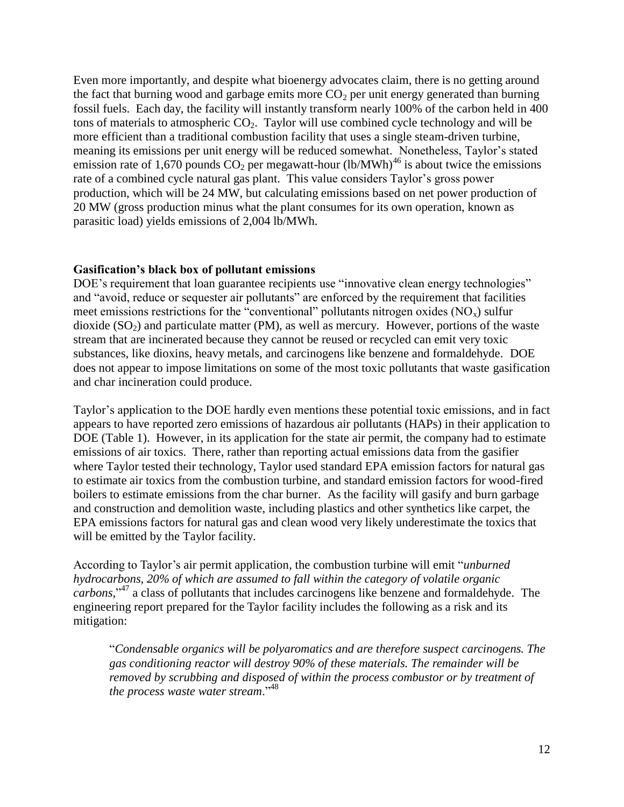Even more importantly, and despite what bioenergy advocates claim, there is no getting around the fact that burning wood and garbage emits more  $CO<sub>2</sub>$  per unit energy generated than burning fossil fuels. Each day, the facility will instantly transform nearly 100% of the carbon held in 400 tons of materials to atmospheric  $CO<sub>2</sub>$ . Taylor will use combined cycle technology and will be more efficient than a traditional combustion facility that uses a single steam-driven turbine, meaning its emissions per unit energy will be reduced somewhat. Nonetheless, Taylor's stated emission rate of 1,670 pounds  $CO<sub>2</sub>$  per megawatt-hour (lb/MWh)<sup>46</sup> is about twice the emissions rate of a combined cycle natural gas plant. This value considers Taylor's gross power production, which will be 24 MW, but calculating emissions based on net power production of 20 MW (gross production minus what the plant consumes for its own operation, known as parasitic load) yields emissions of 2,004 lb/MWh.

#### <span id="page-11-0"></span>**Gasification's black box of pollutant emissions**

DOE's requirement that loan guarantee recipients use "innovative clean energy technologies" and "avoid, reduce or sequester air pollutants" are enforced by the requirement that facilities meet emissions restrictions for the "conventional" pollutants nitrogen oxides  $(NO_x)$  sulfur dioxide  $(SO<sub>2</sub>)$  and particulate matter (PM), as well as mercury. However, portions of the waste stream that are incinerated because they cannot be reused or recycled can emit very toxic substances, like dioxins, heavy metals, and carcinogens like benzene and formaldehyde. DOE does not appear to impose limitations on some of the most toxic pollutants that waste gasification and char incineration could produce.

Taylor's application to the DOE hardly even mentions these potential toxic emissions, and in fact appears to have reported zero emissions of hazardous air pollutants (HAPs) in their application to DOE (Table 1). However, in its application for the state air permit, the company had to estimate emissions of air toxics. There, rather than reporting actual emissions data from the gasifier where Taylor tested their technology, Taylor used standard EPA emission factors for natural gas to estimate air toxics from the combustion turbine, and standard emission factors for wood-fired boilers to estimate emissions from the char burner. As the facility will gasify and burn garbage and construction and demolition waste, including plastics and other synthetics like carpet, the EPA emissions factors for natural gas and clean wood very likely underestimate the toxics that will be emitted by the Taylor facility.

According to Taylor's air permit application, the combustion turbine will emit "*unburned hydrocarbons, 20% of which are assumed to fall within the category of volatile organic carbons*," <sup>47</sup> a class of pollutants that includes carcinogens like benzene and formaldehyde. The engineering report prepared for the Taylor facility includes the following as a risk and its mitigation:

"*Condensable organics will be polyaromatics and are therefore suspect carcinogens. The gas conditioning reactor will destroy 90% of these materials. The remainder will be removed by scrubbing and disposed of within the process combustor or by treatment of the process waste water stream*."<sup>48</sup>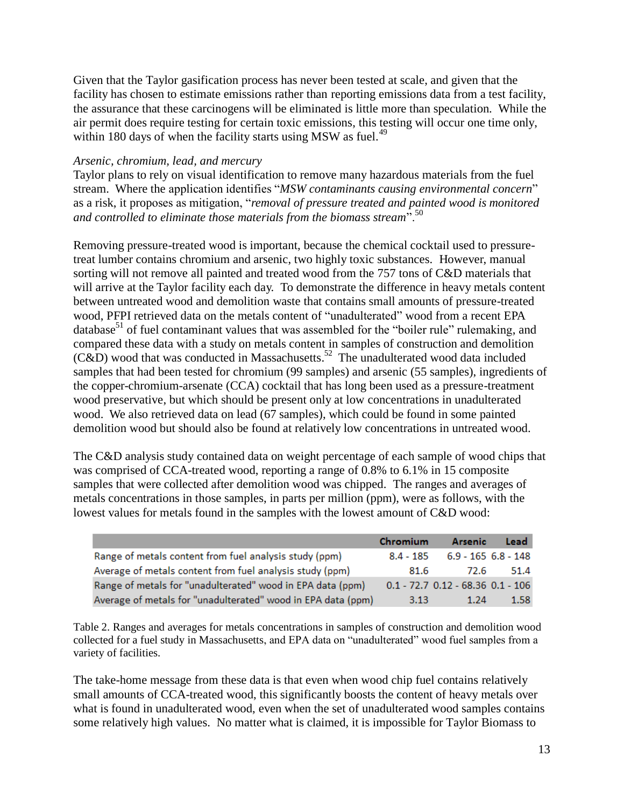Given that the Taylor gasification process has never been tested at scale, and given that the facility has chosen to estimate emissions rather than reporting emissions data from a test facility, the assurance that these carcinogens will be eliminated is little more than speculation. While the air permit does require testing for certain toxic emissions, this testing will occur one time only, within 180 days of when the facility starts using MSW as fuel.<sup>49</sup>

## <span id="page-12-0"></span>*Arsenic, chromium, lead, and mercury*

Taylor plans to rely on visual identification to remove many hazardous materials from the fuel stream. Where the application identifies "*MSW contaminants causing environmental concern*" as a risk, it proposes as mitigation, "*removal of pressure treated and painted wood is monitored and controlled to eliminate those materials from the biomass stream*".<sup>50</sup>

Removing pressure-treated wood is important, because the chemical cocktail used to pressuretreat lumber contains chromium and arsenic, two highly toxic substances. However, manual sorting will not remove all painted and treated wood from the 757 tons of C&D materials that will arrive at the Taylor facility each day. To demonstrate the difference in heavy metals content between untreated wood and demolition waste that contains small amounts of pressure-treated wood, PFPI retrieved data on the metals content of "unadulterated" wood from a recent EPA database $51$  of fuel contaminant values that was assembled for the "boiler rule" rulemaking, and compared these data with a study on metals content in samples of construction and demolition  $(C&D)$  wood that was conducted in Massachusetts.<sup>52</sup> The unadulterated wood data included samples that had been tested for chromium (99 samples) and arsenic (55 samples), ingredients of the copper-chromium-arsenate (CCA) cocktail that has long been used as a pressure-treatment wood preservative, but which should be present only at low concentrations in unadulterated wood. We also retrieved data on lead (67 samples), which could be found in some painted demolition wood but should also be found at relatively low concentrations in untreated wood.

The C&D analysis study contained data on weight percentage of each sample of wood chips that was comprised of CCA-treated wood, reporting a range of 0.8% to 6.1% in 15 composite samples that were collected after demolition wood was chipped. The ranges and averages of metals concentrations in those samples, in parts per million (ppm), were as follows, with the lowest values for metals found in the samples with the lowest amount of C&D wood:

|                                                              | Chromium    | <b>Arsenic</b>                          | Lead |
|--------------------------------------------------------------|-------------|-----------------------------------------|------|
| Range of metals content from fuel analysis study (ppm)       | $8.4 - 185$ | $6.9 - 165$ $6.8 - 148$                 |      |
| Average of metals content from fuel analysis study (ppm)     | 81.6        | 72.6                                    | 51.4 |
| Range of metals for "unadulterated" wood in EPA data (ppm)   |             | $0.1 - 72.7$ $0.12 - 68.36$ $0.1 - 106$ |      |
| Average of metals for "unadulterated" wood in EPA data (ppm) | 3.13        | 1.24                                    | 1.58 |

Table 2. Ranges and averages for metals concentrations in samples of construction and demolition wood collected for a fuel study in Massachusetts, and EPA data on "unadulterated" wood fuel samples from a variety of facilities.

The take-home message from these data is that even when wood chip fuel contains relatively small amounts of CCA-treated wood, this significantly boosts the content of heavy metals over what is found in unadulterated wood, even when the set of unadulterated wood samples contains some relatively high values. No matter what is claimed, it is impossible for Taylor Biomass to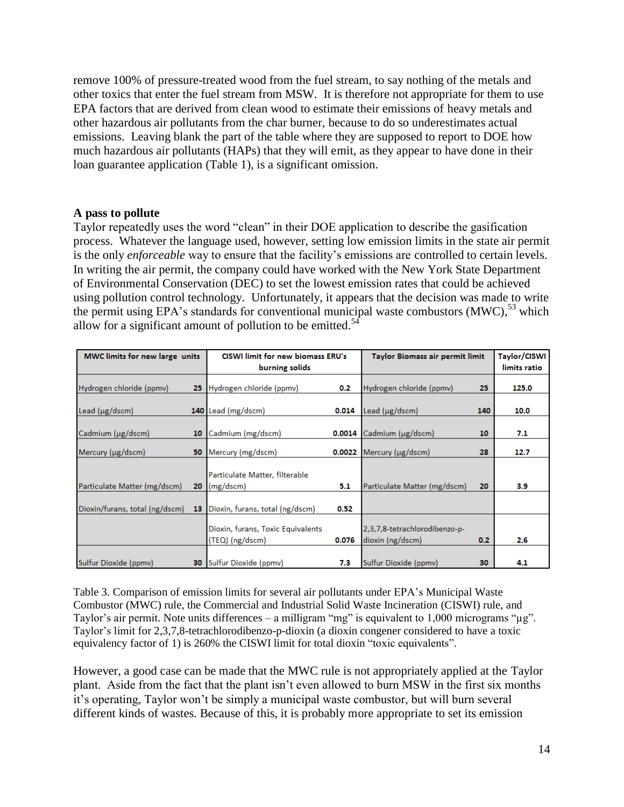remove 100% of pressure-treated wood from the fuel stream, to say nothing of the metals and other toxics that enter the fuel stream from MSW. It is therefore not appropriate for them to use EPA factors that are derived from clean wood to estimate their emissions of heavy metals and other hazardous air pollutants from the char burner, because to do so underestimates actual emissions. Leaving blank the part of the table where they are supposed to report to DOE how much hazardous air pollutants (HAPs) that they will emit, as they appear to have done in their loan guarantee application (Table 1), is a significant omission.

# <span id="page-13-0"></span>**A pass to pollute**

Taylor repeatedly uses the word "clean" in their DOE application to describe the gasification process. Whatever the language used, however, setting low emission limits in the state air permit is the only *enforceable* way to ensure that the facility's emissions are controlled to certain levels. In writing the air permit, the company could have worked with the New York State Department of Environmental Conservation (DEC) to set the lowest emission rates that could be achieved using pollution control technology. Unfortunately, it appears that the decision was made to write the permit using EPA's standards for conventional municipal waste combustors (MWC),<sup>53</sup> which allow for a significant amount of pollution to be emitted.<sup>54</sup>

| MWC limits for new large units |    | CISWI limit for new biomass ERU's                    |        | Taylor Biomass air permit limit                   |     | Taylor/CISWI |
|--------------------------------|----|------------------------------------------------------|--------|---------------------------------------------------|-----|--------------|
|                                |    | burning solids                                       |        |                                                   |     | limits ratio |
| Hydrogen chloride (ppmv)       | 25 | Hydrogen chloride (ppmv)                             | 0.2    | Hydrogen chloride (ppmv)                          | 25  | 125.0        |
| Lead (µg/dscm)                 |    | 140 Lead (mg/dscm)                                   | 0.014  | Lead (µg/dscm)                                    | 140 | 10.0         |
| Cadmium (µg/dscm)              | 10 | Cadmium (mg/dscm)                                    |        | 0.0014 Cadmium (µg/dscm)                          | 10  | 7.1          |
| Mercury (µg/dscm)              | 50 | Mercury (mg/dscm)                                    | 0.0022 | Mercury (µg/dscm)                                 | 28  | 12.7         |
| Particulate Matter (mg/dscm)   | 20 | Particulate Matter, filterable<br>(mg/dscm)          | 5.1    | Particulate Matter (mg/dscm)                      | 20  | 3.9          |
| Dioxin/furans, total (ng/dscm) | 13 | Dioxin, furans, total (ng/dscm)                      | 0.52   |                                                   |     |              |
|                                |    | Dioxin, furans, Toxic Equivalents<br>(TEQ) (ng/dscm) | 0.076  | 2,3,7,8-tetrachlorodibenzo-p-<br>dioxin (ng/dscm) | 0.2 | 2.6          |
| Sulfur Dioxide (ppmv)          | 30 | Sulfur Dioxide (ppmv)                                | 7.3    | Sulfur Dioxide (ppmv)                             | 30  | 4.1          |

Table 3. Comparison of emission limits for several air pollutants under EPA's Municipal Waste Combustor (MWC) rule, the Commercial and Industrial Solid Waste Incineration (CISWI) rule, and Taylor's air permit. Note units differences – a milligram "mg" is equivalent to 1,000 micrograms "ug". Taylor's limit for 2,3,7,8-tetrachlorodibenzo-p-dioxin (a dioxin congener considered to have a toxic equivalency factor of 1) is 260% the CISWI limit for total dioxin "toxic equivalents".

However, a good case can be made that the MWC rule is not appropriately applied at the Taylor plant. Aside from the fact that the plant isn't even allowed to burn MSW in the first six months it's operating, Taylor won't be simply a municipal waste combustor, but will burn several different kinds of wastes. Because of this, it is probably more appropriate to set its emission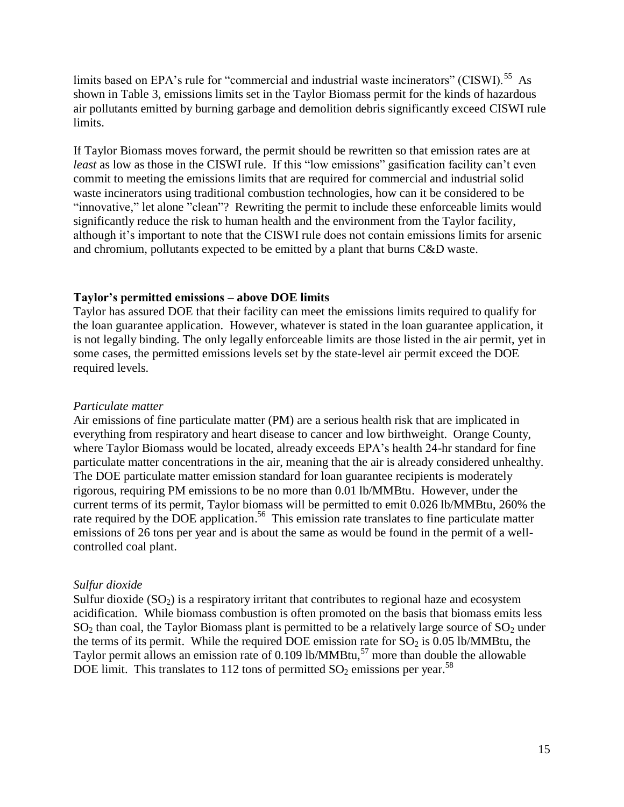limits based on EPA's rule for "commercial and industrial waste incinerators" (CISWI).<sup>55</sup> As shown in Table 3, emissions limits set in the Taylor Biomass permit for the kinds of hazardous air pollutants emitted by burning garbage and demolition debris significantly exceed CISWI rule limits.

If Taylor Biomass moves forward, the permit should be rewritten so that emission rates are at *least* as low as those in the CISWI rule. If this "low emissions" gasification facility can't even commit to meeting the emissions limits that are required for commercial and industrial solid waste incinerators using traditional combustion technologies, how can it be considered to be "innovative," let alone "clean"? Rewriting the permit to include these enforceable limits would significantly reduce the risk to human health and the environment from the Taylor facility, although it's important to note that the CISWI rule does not contain emissions limits for arsenic and chromium, pollutants expected to be emitted by a plant that burns C&D waste.

## <span id="page-14-0"></span>**Taylor's permitted emissions – above DOE limits**

Taylor has assured DOE that their facility can meet the emissions limits required to qualify for the loan guarantee application. However, whatever is stated in the loan guarantee application, it is not legally binding. The only legally enforceable limits are those listed in the air permit, yet in some cases, the permitted emissions levels set by the state-level air permit exceed the DOE required levels.

#### <span id="page-14-1"></span>*Particulate matter*

Air emissions of fine particulate matter (PM) are a serious health risk that are implicated in everything from respiratory and heart disease to cancer and low birthweight. Orange County, where Taylor Biomass would be located, already exceeds EPA's health 24-hr standard for fine particulate matter concentrations in the air, meaning that the air is already considered unhealthy. The DOE particulate matter emission standard for loan guarantee recipients is moderately rigorous, requiring PM emissions to be no more than 0.01 lb/MMBtu. However, under the current terms of its permit, Taylor biomass will be permitted to emit 0.026 lb/MMBtu, 260% the rate required by the DOE application.<sup>56</sup> This emission rate translates to fine particulate matter emissions of 26 tons per year and is about the same as would be found in the permit of a wellcontrolled coal plant.

# <span id="page-14-2"></span>*Sulfur dioxide*

Sulfur dioxide  $(SO_2)$  is a respiratory irritant that contributes to regional haze and ecosystem acidification. While biomass combustion is often promoted on the basis that biomass emits less  $SO<sub>2</sub>$  than coal, the Taylor Biomass plant is permitted to be a relatively large source of  $SO<sub>2</sub>$  under the terms of its permit. While the required DOE emission rate for  $SO_2$  is 0.05 lb/MMBtu, the Taylor permit allows an emission rate of 0.109 lb/MMBtu,<sup>57</sup> more than double the allowable DOE limit. This translates to 112 tons of permitted  $SO_2$  emissions per year.<sup>58</sup>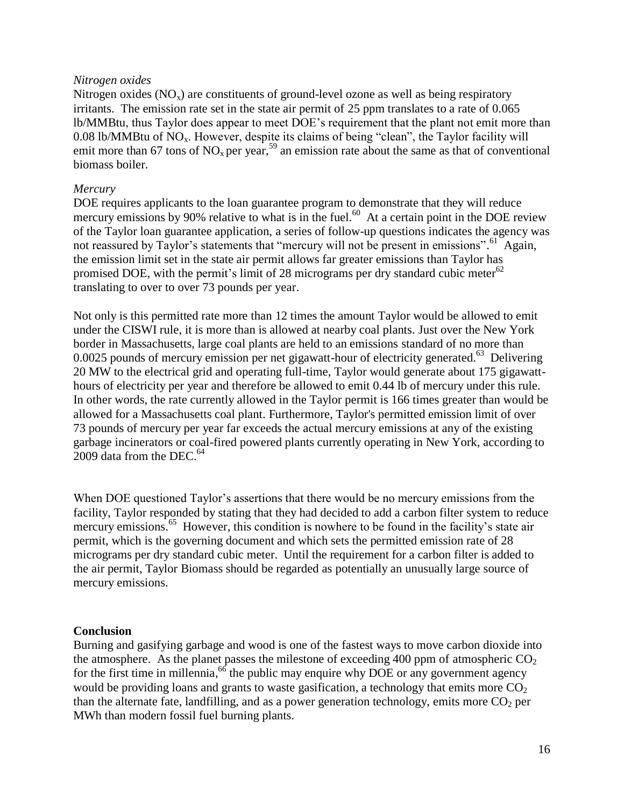# <span id="page-15-0"></span>*Nitrogen oxides*

Nitrogen oxides  $(NO_x)$  are constituents of ground-level ozone as well as being respiratory irritants. The emission rate set in the state air permit of 25 ppm translates to a rate of 0.065 lb/MMBtu, thus Taylor does appear to meet DOE's requirement that the plant not emit more than 0.08 lb/MMBtu of  $NO<sub>x</sub>$ . However, despite its claims of being "clean", the Taylor facility will emit more than 67 tons of  $NO_x$  per year,<sup>59</sup> an emission rate about the same as that of conventional biomass boiler.

## <span id="page-15-1"></span>*Mercury*

DOE requires applicants to the loan guarantee program to demonstrate that they will reduce mercury emissions by 90% relative to what is in the fuel.<sup>60</sup> At a certain point in the DOE review of the Taylor loan guarantee application, a series of follow-up questions indicates the agency was not reassured by Taylor's statements that "mercury will not be present in emissions".<sup>61</sup> Again, the emission limit set in the state air permit allows far greater emissions than Taylor has promised DOE, with the permit's limit of 28 micrograms per dry standard cubic meter $^{62}$ translating to over to over 73 pounds per year.

Not only is this permitted rate more than 12 times the amount Taylor would be allowed to emit under the CISWI rule, it is more than is allowed at nearby coal plants. Just over the New York border in Massachusetts, large coal plants are held to an emissions standard of no more than 0.0025 pounds of mercury emission per net gigawatt-hour of electricity generated.<sup>63</sup> Delivering 20 MW to the electrical grid and operating full-time, Taylor would generate about 175 gigawatthours of electricity per year and therefore be allowed to emit 0.44 lb of mercury under this rule. In other words, the rate currently allowed in the Taylor permit is 166 times greater than would be allowed for a Massachusetts coal plant. Furthermore, Taylor's permitted emission limit of over 73 pounds of mercury per year far exceeds the actual mercury emissions at any of the existing garbage incinerators or coal-fired powered plants currently operating in New York, according to 2009 data from the DEC. $^{64}$ 

When DOE questioned Taylor's assertions that there would be no mercury emissions from the facility, Taylor responded by stating that they had decided to add a carbon filter system to reduce mercury emissions.<sup>65</sup> However, this condition is nowhere to be found in the facility's state air permit, which is the governing document and which sets the permitted emission rate of 28 micrograms per dry standard cubic meter. Until the requirement for a carbon filter is added to the air permit, Taylor Biomass should be regarded as potentially an unusually large source of mercury emissions.

#### <span id="page-15-2"></span>**Conclusion**

Burning and gasifying garbage and wood is one of the fastest ways to move carbon dioxide into the atmosphere. As the planet passes the milestone of exceeding 400 ppm of atmospheric  $CO<sub>2</sub>$ for the first time in millennia,  $^{66}$  the public may enquire why DOE or any government agency would be providing loans and grants to waste gasification, a technology that emits more  $CO<sub>2</sub>$ than the alternate fate, landfilling, and as a power generation technology, emits more  $CO<sub>2</sub>$  per MWh than modern fossil fuel burning plants.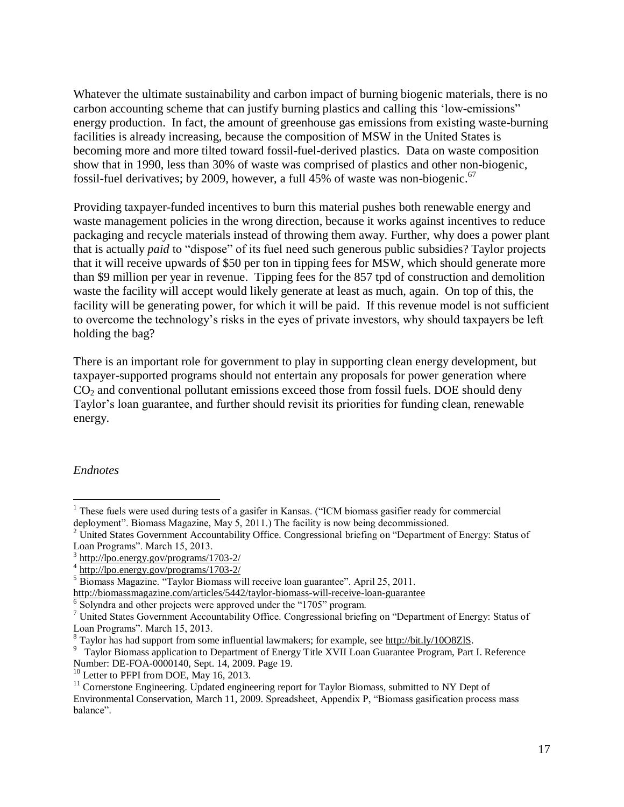Whatever the ultimate sustainability and carbon impact of burning biogenic materials, there is no carbon accounting scheme that can justify burning plastics and calling this 'low-emissions" energy production. In fact, the amount of greenhouse gas emissions from existing waste-burning facilities is already increasing, because the composition of MSW in the United States is becoming more and more tilted toward fossil-fuel-derived plastics. Data on waste composition show that in 1990, less than 30% of waste was comprised of plastics and other non-biogenic, fossil-fuel derivatives; by 2009, however, a full 45% of waste was non-biogenic.<sup>67</sup>

Providing taxpayer-funded incentives to burn this material pushes both renewable energy and waste management policies in the wrong direction, because it works against incentives to reduce packaging and recycle materials instead of throwing them away. Further, why does a power plant that is actually *paid* to "dispose" of its fuel need such generous public subsidies? Taylor projects that it will receive upwards of \$50 per ton in tipping fees for MSW, which should generate more than \$9 million per year in revenue. Tipping fees for the 857 tpd of construction and demolition waste the facility will accept would likely generate at least as much, again. On top of this, the facility will be generating power, for which it will be paid. If this revenue model is not sufficient to overcome the technology's risks in the eyes of private investors, why should taxpayers be left holding the bag?

There is an important role for government to play in supporting clean energy development, but taxpayer-supported programs should not entertain any proposals for power generation where  $CO<sub>2</sub>$  and conventional pollutant emissions exceed those from fossil fuels. DOE should deny Taylor's loan guarantee, and further should revisit its priorities for funding clean, renewable energy.

#### <span id="page-16-0"></span>*Endnotes*

 1 These fuels were used during tests of a gasifer in Kansas. ("ICM biomass gasifier ready for commercial deployment". Biomass Magazine, May 5, 2011.) The facility is now being decommissioned.

<sup>&</sup>lt;sup>2</sup> United States Government Accountability Office. Congressional briefing on "Department of Energy: Status of Loan Programs". March 15, 2013.

<sup>3</sup> <http://lpo.energy.gov/programs/1703-2/>

<sup>4</sup> <http://lpo.energy.gov/programs/1703-2/>

<sup>&</sup>lt;sup>5</sup> Biomass Magazine. "Taylor Biomass will receive loan guarantee". April 25, 2011. <http://biomassmagazine.com/articles/5442/taylor-biomass-will-receive-loan-guarantee>

<sup>&</sup>lt;sup>6</sup> Solyndra and other projects were approved under the "1705" program.

<sup>7</sup> United States Government Accountability Office. Congressional briefing on "Department of Energy: Status of Loan Programs". March 15, 2013.

<sup>&</sup>lt;sup>8</sup> Taylor has had support from some influential lawmakers; for example, see [http://bit.ly/10O8ZlS.](http://bit.ly/10O8ZlS)

<sup>&</sup>lt;sup>9</sup> Taylor Biomass application to Department of Energy Title XVII Loan Guarantee Program, Part I. Reference Number: DE-FOA-0000140, Sept. 14, 2009. Page 19.

<sup>&</sup>lt;sup>10</sup> Letter to PFPI from DOE, May 16, 2013.

 $11$  Cornerstone Engineering. Updated engineering report for Taylor Biomass, submitted to NY Dept of Environmental Conservation, March 11, 2009. Spreadsheet, Appendix P, "Biomass gasification process mass balance".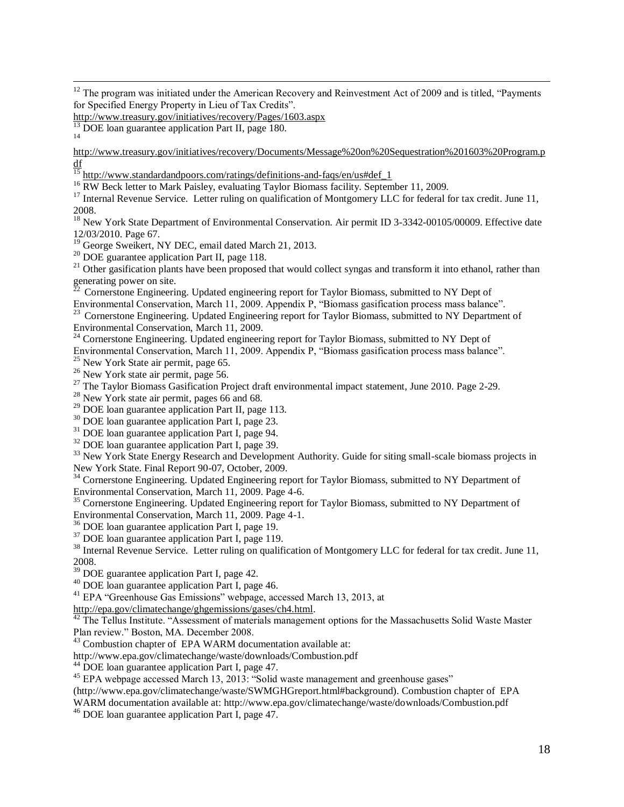$12$  The program was initiated under the American Recovery and Reinvestment Act of 2009 and is titled, "Payments for Specified Energy Property in Lieu of Tax Credits".

<http://www.treasury.gov/initiatives/recovery/Pages/1603.aspx>

 $\overline{a}$ 

[http://www.treasury.gov/initiatives/recovery/Documents/Message%20on%20Sequestration%201603%20Program.p](http://www.treasury.gov/initiatives/recovery/Documents/Message%20on%20Sequestration%201603%20Program.pdf) [df](http://www.treasury.gov/initiatives/recovery/Documents/Message%20on%20Sequestration%201603%20Program.pdf)

 $\frac{15}{15}$  [http://www.standardandpoors.com/ratings/definitions-and-faqs/en/us#def\\_1](http://www.standardandpoors.com/ratings/definitions-and-faqs/en/us#def_1)

<sup>16</sup> RW Beck letter to Mark Paisley, evaluating Taylor Biomass facility. September 11, 2009.

<sup>17</sup> Internal Revenue Service. Letter ruling on qualification of Montgomery LLC for federal for tax credit. June 11, 2008.

<sup>18</sup> New York State Department of Environmental Conservation. Air permit ID 3-3342-00105/00009. Effective date 12/03/2010. Page 67.

<sup>19</sup> George Sweikert, NY DEC, email dated March 21, 2013.

<sup>20</sup> DOE guarantee application Part II, page 118.

<sup>21</sup> Other gasification plants have been proposed that would collect syngas and transform it into ethanol, rather than generating power on site.

<sup>22</sup> Cornerstone Engineering. Updated engineering report for Taylor Biomass, submitted to NY Dept of

Environmental Conservation, March 11, 2009. Appendix P, "Biomass gasification process mass balance".

<sup>23</sup> Cornerstone Engineering. Updated Engineering report for Taylor Biomass, submitted to NY Department of Environmental Conservation, March 11, 2009.

 $24$  Cornerstone Engineering. Updated engineering report for Taylor Biomass, submitted to NY Dept of Environmental Conservation, March 11, 2009. Appendix P, "Biomass gasification process mass balance".  $25$  New York State air permit, page 65.

<sup>26</sup> New York state air permit, page 56.

<sup>27</sup> The Taylor Biomass Gasification Project draft environmental impact statement, June 2010. Page 2-29.

 $28$  New York state air permit, pages 66 and 68.

<sup>29</sup> DOE loan guarantee application Part II, page 113.

<sup>30</sup> DOE loan guarantee application Part I, page 23.

 $31$  DOE loan guarantee application Part I, page 94.

<sup>32</sup> DOE loan guarantee application Part I, page 39.

<sup>33</sup> New York State Energy Research and Development Authority. Guide for siting small-scale biomass projects in New York State. Final Report 90-07, October, 2009.

<sup>34</sup> Cornerstone Engineering. Updated Engineering report for Taylor Biomass, submitted to NY Department of Environmental Conservation, March 11, 2009. Page 4-6.

<sup>35</sup> Cornerstone Engineering. Updated Engineering report for Taylor Biomass, submitted to NY Department of Environmental Conservation, March 11, 2009. Page 4-1.

<sup>36</sup> DOE loan guarantee application Part I, page 19.

 $37$  DOE loan guarantee application Part I, page 119.

<sup>38</sup> Internal Revenue Service. Letter ruling on qualification of Montgomery LLC for federal for tax credit. June 11, 2008.

<sup>39</sup> DOE guarantee application Part I, page 42.

 $40$  DOE loan guarantee application Part I, page 46.

<sup>41</sup> EPA "Greenhouse Gas Emissions" webpage, accessed March 13, 2013, at

[http://epa.gov/climatechange/ghgemissions/gases/ch4.html.](http://epa.gov/climatechange/ghgemissions/gases/ch4.html)

<sup>42</sup> The Tellus Institute. "Assessment of materials management options for the Massachusetts Solid Waste Master Plan review." Boston, MA. December 2008.

 $43$  Combustion chapter of EPA WARM documentation available at:

http://www.epa.gov/climatechange/waste/downloads/Combustion.pdf

<sup>44</sup> DOE loan guarantee application Part I, page 47.

<sup>45</sup> EPA webpage accessed March 13, 2013: "Solid waste management and greenhouse gases"

(http://www.epa.gov/climatechange/waste/SWMGHGreport.html#background). Combustion chapter of EPA

WARM documentation available at: http://www.epa.gov/climatechange/waste/downloads/Combustion.pdf

<sup>46</sup> DOE loan guarantee application Part I, page 47.

 $13$  DOE loan guarantee application Part II, page 180. 14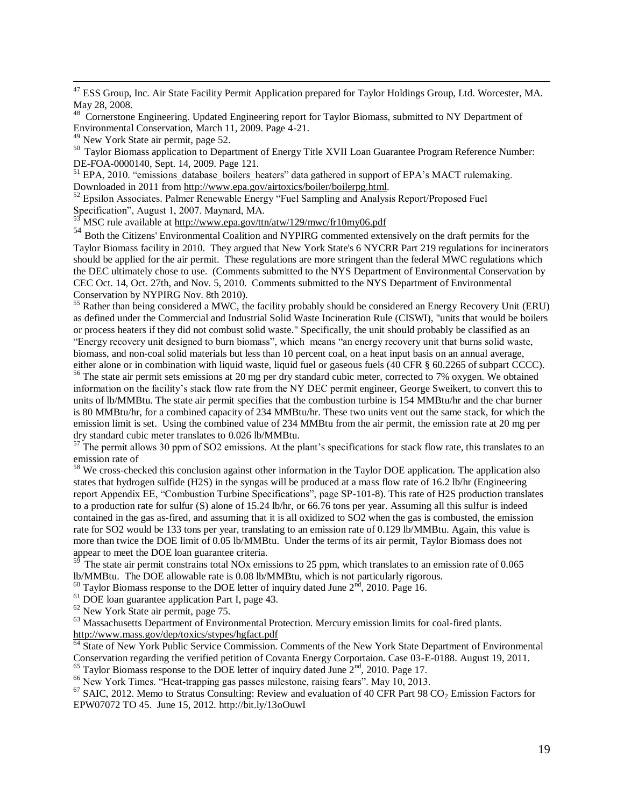<sup>47</sup> ESS Group, Inc. Air State Facility Permit Application prepared for Taylor Holdings Group, Ltd. Worcester, MA. May 28, 2008.

<sup>48</sup> Cornerstone Engineering. Updated Engineering report for Taylor Biomass, submitted to NY Department of Environmental Conservation, March 11, 2009. Page 4-21.

<sup>49</sup> New York State air permit, page 52.

 $\overline{a}$ 

<sup>50</sup> Taylor Biomass application to Department of Energy Title XVII Loan Guarantee Program Reference Number: DE-FOA-0000140, Sept. 14, 2009. Page 121.

<sup>51</sup> EPA, 2010. "emissions database boilers heaters" data gathered in support of EPA's MACT rulemaking. Downloaded in 2011 from [http://www.epa.gov/airtoxics/boiler/boilerpg.html.](http://www.epa.gov/airtoxics/boiler/boilerpg.html)

<sup>52</sup> Epsilon Associates. Palmer Renewable Energy "Fuel Sampling and Analysis Report/Proposed Fuel Specification", August 1, 2007. Maynard, MA.

MSC rule available at<http://www.epa.gov/ttn/atw/129/mwc/fr10my06.pdf>

54 Both the Citizens' Environmental Coalition and NYPIRG commented extensively on the draft permits for the Taylor Biomass facility in 2010. They argued that New York State's 6 NYCRR Part 219 regulations for incinerators should be applied for the air permit. These regulations are more stringent than the federal MWC regulations which the DEC ultimately chose to use. (Comments submitted to the NYS Department of Environmental Conservation by CEC Oct. 14, Oct. 27th, and Nov. 5, 2010. Comments submitted to the NYS Department of Environmental Conservation by NYPIRG Nov. 8th 2010).

<sup>55</sup> Rather than being considered a MWC, the facility probably should be considered an Energy Recovery Unit (ERU) as defined under the Commercial and Industrial Solid Waste Incineration Rule (CISWI), "units that would be boilers or process heaters if they did not combust solid waste." Specifically, the unit should probably be classified as an "Energy recovery unit designed to burn biomass", which means "an energy recovery unit that burns solid waste, biomass, and non-coal solid materials but less than 10 percent coal, on a heat input basis on an annual average, either alone or in combination with liquid waste, liquid fuel or gaseous fuels (40 CFR § 60.2265 of subpart CCCC).

<sup>56</sup> The state air permit sets emissions at 20 mg per dry standard cubic meter, corrected to 7% oxygen. We obtained information on the facility's stack flow rate from the NY DEC permit engineer, George Sweikert, to convert this to units of lb/MMBtu. The state air permit specifies that the combustion turbine is 154 MMBtu/hr and the char burner is 80 MMBtu/hr, for a combined capacity of 234 MMBtu/hr. These two units vent out the same stack, for which the emission limit is set. Using the combined value of 234 MMBtu from the air permit, the emission rate at 20 mg per dry standard cubic meter translates to 0.026 lb/MMBtu.

 $57$  The permit allows 30 ppm of SO2 emissions. At the plant's specifications for stack flow rate, this translates to an emission rate of

 $58$  We cross-checked this conclusion against other information in the Taylor DOE application. The application also states that hydrogen sulfide (H2S) in the syngas will be produced at a mass flow rate of 16.2 lb/hr (Engineering report Appendix EE, "Combustion Turbine Specifications", page SP-101-8). This rate of H2S production translates to a production rate for sulfur (S) alone of 15.24 lb/hr, or 66.76 tons per year. Assuming all this sulfur is indeed contained in the gas as-fired, and assuming that it is all oxidized to SO2 when the gas is combusted, the emission rate for SO2 would be 133 tons per year, translating to an emission rate of 0.129 lb/MMBtu. Again, this value is more than twice the DOE limit of 0.05 lb/MMBtu. Under the terms of its air permit, Taylor Biomass does not appear to meet the DOE loan guarantee criteria.

The state air permit constrains total NOx emissions to 25 ppm, which translates to an emission rate of 0.065 lb/MMBtu. The DOE allowable rate is 0.08 lb/MMBtu, which is not particularly rigorous.

 $60$  Taylor Biomass response to the DOE letter of inquiry dated June  $2<sup>nd</sup>$ , 2010. Page 16.

<sup>61</sup> DOE loan guarantee application Part I, page 43.

<sup>62</sup> New York State air permit, page 75.

<sup>63</sup> Massachusetts Department of Environmental Protection. Mercury emission limits for coal-fired plants. <http://www.mass.gov/dep/toxics/stypes/hgfact.pdf><br>
64 Stots: CN = X = C

State of New York Public Service Commission. Comments of the New York State Department of Environmental Conservation regarding the verified petition of Covanta Energy Corportaion. Case 03-E-0188. August 19, 2011.  $65$  Taylor Biomass response to the DOE letter of inquiry dated June  $2<sup>nd</sup>$ , 2010. Page 17.

<sup>66</sup> New York Times. "Heat-trapping gas passes milestone, raising fears". May 10, 2013.

 $^{67}$  SAIC, 2012. Memo to Stratus Consulting: Review and evaluation of 40 CFR Part 98 CO<sub>2</sub> Emission Factors for EPW07072 TO 45. June 15, 2012. http://bit.ly/13oOuwI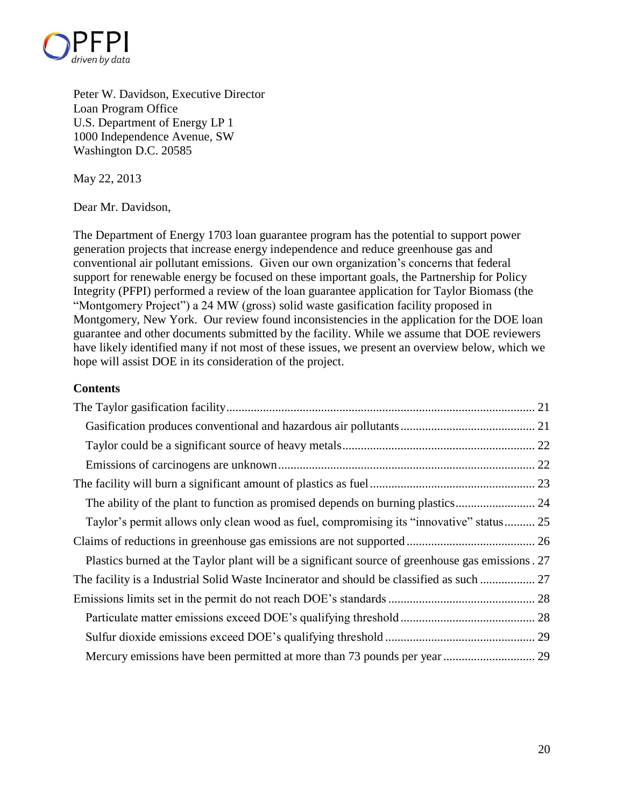

Peter W. Davidson, Executive Director Loan Program Office U.S. Department of Energy LP 1 1000 Independence Avenue, SW Washington D.C. 20585

May 22, 2013

Dear Mr. Davidson,

The Department of Energy 1703 loan guarantee program has the potential to support power generation projects that increase energy independence and reduce greenhouse gas and conventional air pollutant emissions. Given our own organization's concerns that federal support for renewable energy be focused on these important goals, the Partnership for Policy Integrity (PFPI) performed a review of the loan guarantee application for Taylor Biomass (the "Montgomery Project") a 24 MW (gross) solid waste gasification facility proposed in Montgomery, New York. Our review found inconsistencies in the application for the DOE loan guarantee and other documents submitted by the facility. While we assume that DOE reviewers have likely identified many if not most of these issues, we present an overview below, which we hope will assist DOE in its consideration of the project.

# **Contents**

| Taylor's permit allows only clean wood as fuel, compromising its "innovative" status 25          |
|--------------------------------------------------------------------------------------------------|
|                                                                                                  |
| Plastics burned at the Taylor plant will be a significant source of greenhouse gas emissions. 27 |
| The facility is a Industrial Solid Waste Incinerator and should be classified as such  27        |
|                                                                                                  |
|                                                                                                  |
|                                                                                                  |
|                                                                                                  |
|                                                                                                  |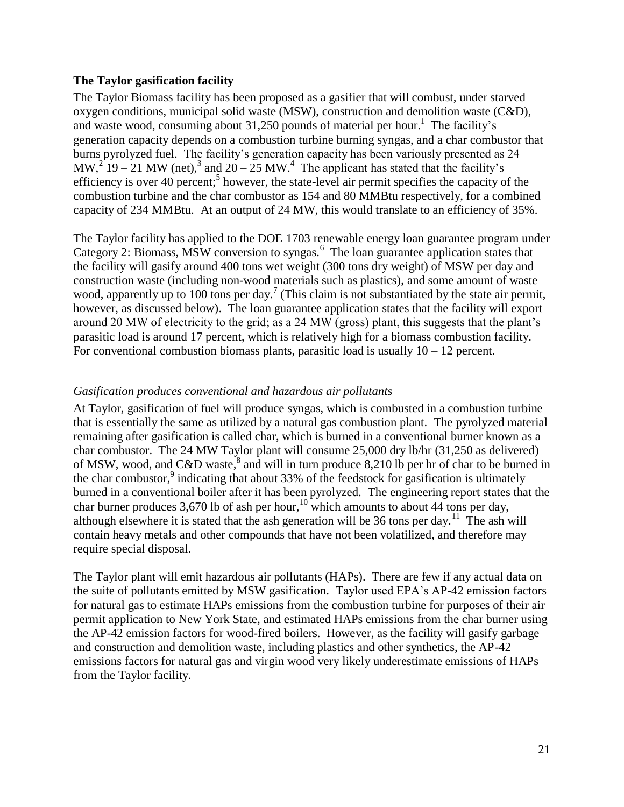# <span id="page-20-0"></span>**The Taylor gasification facility**

The Taylor Biomass facility has been proposed as a gasifier that will combust, under starved oxygen conditions, municipal solid waste (MSW), construction and demolition waste (C&D), and waste wood, consuming about 31,250 pounds of material per hour. 1 The facility's generation capacity depends on a combustion turbine burning syngas, and a char combustor that burns pyrolyzed fuel. The facility's generation capacity has been variously presented as 24 MW,<sup>2</sup> 19 – 21 MW (net),<sup>3</sup> and 20 – 25 MW.<sup>4</sup> The applicant has stated that the facility's efficiency is over 40 percent;<sup>5</sup> however, the state-level air permit specifies the capacity of the combustion turbine and the char combustor as 154 and 80 MMBtu respectively, for a combined capacity of 234 MMBtu. At an output of 24 MW, this would translate to an efficiency of 35%.

The Taylor facility has applied to the DOE 1703 renewable energy loan guarantee program under Category 2: Biomass, MSW conversion to syngas.<sup>6</sup> The loan guarantee application states that the facility will gasify around 400 tons wet weight (300 tons dry weight) of MSW per day and construction waste (including non-wood materials such as plastics), and some amount of waste wood, apparently up to 100 tons per day.<sup>7</sup> (This claim is not substantiated by the state air permit, however, as discussed below). The loan guarantee application states that the facility will export around 20 MW of electricity to the grid; as a 24 MW (gross) plant, this suggests that the plant's parasitic load is around 17 percent, which is relatively high for a biomass combustion facility. For conventional combustion biomass plants, parasitic load is usually  $10 - 12$  percent.

# <span id="page-20-1"></span>*Gasification produces conventional and hazardous air pollutants*

At Taylor, gasification of fuel will produce syngas, which is combusted in a combustion turbine that is essentially the same as utilized by a natural gas combustion plant. The pyrolyzed material remaining after gasification is called char, which is burned in a conventional burner known as a char combustor. The 24 MW Taylor plant will consume 25,000 dry lb/hr (31,250 as delivered) of MSW, wood, and C&D waste,  $\frac{8}{3}$  and will in turn produce 8,210 lb per hr of char to be burned in the char combustor, $9$  indicating that about 33% of the feedstock for gasification is ultimately burned in a conventional boiler after it has been pyrolyzed. The engineering report states that the char burner produces 3,670 lb of ash per hour,<sup>10</sup> which amounts to about 44 tons per day, although elsewhere it is stated that the ash generation will be 36 tons per day.<sup>11</sup> The ash will contain heavy metals and other compounds that have not been volatilized, and therefore may require special disposal.

The Taylor plant will emit hazardous air pollutants (HAPs). There are few if any actual data on the suite of pollutants emitted by MSW gasification. Taylor used EPA's AP-42 emission factors for natural gas to estimate HAPs emissions from the combustion turbine for purposes of their air permit application to New York State, and estimated HAPs emissions from the char burner using the AP-42 emission factors for wood-fired boilers. However, as the facility will gasify garbage and construction and demolition waste, including plastics and other synthetics, the AP-42 emissions factors for natural gas and virgin wood very likely underestimate emissions of HAPs from the Taylor facility.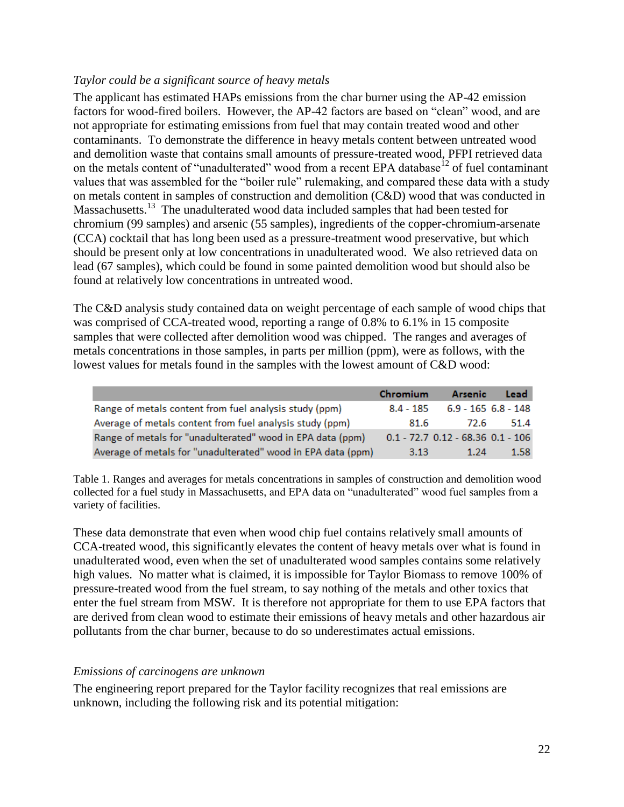# <span id="page-21-0"></span>*Taylor could be a significant source of heavy metals*

The applicant has estimated HAPs emissions from the char burner using the AP-42 emission factors for wood-fired boilers. However, the AP-42 factors are based on "clean" wood, and are not appropriate for estimating emissions from fuel that may contain treated wood and other contaminants. To demonstrate the difference in heavy metals content between untreated wood and demolition waste that contains small amounts of pressure-treated wood, PFPI retrieved data on the metals content of "unadulterated" wood from a recent EPA database<sup>12</sup> of fuel contaminant values that was assembled for the "boiler rule" rulemaking, and compared these data with a study on metals content in samples of construction and demolition (C&D) wood that was conducted in Massachusetts.<sup>13</sup> The unadulterated wood data included samples that had been tested for chromium (99 samples) and arsenic (55 samples), ingredients of the copper-chromium-arsenate (CCA) cocktail that has long been used as a pressure-treatment wood preservative, but which should be present only at low concentrations in unadulterated wood. We also retrieved data on lead (67 samples), which could be found in some painted demolition wood but should also be found at relatively low concentrations in untreated wood.

The C&D analysis study contained data on weight percentage of each sample of wood chips that was comprised of CCA-treated wood, reporting a range of 0.8% to 6.1% in 15 composite samples that were collected after demolition wood was chipped. The ranges and averages of metals concentrations in those samples, in parts per million (ppm), were as follows, with the lowest values for metals found in the samples with the lowest amount of C&D wood:

|                                                              | Chromium    | Arsenic                                 | Lead |
|--------------------------------------------------------------|-------------|-----------------------------------------|------|
| Range of metals content from fuel analysis study (ppm)       | $8.4 - 185$ | 6.9 - 165 6.8 - 148                     |      |
| Average of metals content from fuel analysis study (ppm)     | 81.6        | 72.6                                    | 51.4 |
| Range of metals for "unadulterated" wood in EPA data (ppm)   |             | $0.1 - 72.7$ $0.12 - 68.36$ $0.1 - 106$ |      |
| Average of metals for "unadulterated" wood in EPA data (ppm) | 3.13        | 1.24                                    | 1.58 |

Table 1. Ranges and averages for metals concentrations in samples of construction and demolition wood collected for a fuel study in Massachusetts, and EPA data on "unadulterated" wood fuel samples from a variety of facilities.

These data demonstrate that even when wood chip fuel contains relatively small amounts of CCA-treated wood, this significantly elevates the content of heavy metals over what is found in unadulterated wood, even when the set of unadulterated wood samples contains some relatively high values. No matter what is claimed, it is impossible for Taylor Biomass to remove 100% of pressure-treated wood from the fuel stream, to say nothing of the metals and other toxics that enter the fuel stream from MSW. It is therefore not appropriate for them to use EPA factors that are derived from clean wood to estimate their emissions of heavy metals and other hazardous air pollutants from the char burner, because to do so underestimates actual emissions.

# <span id="page-21-1"></span>*Emissions of carcinogens are unknown*

The engineering report prepared for the Taylor facility recognizes that real emissions are unknown, including the following risk and its potential mitigation: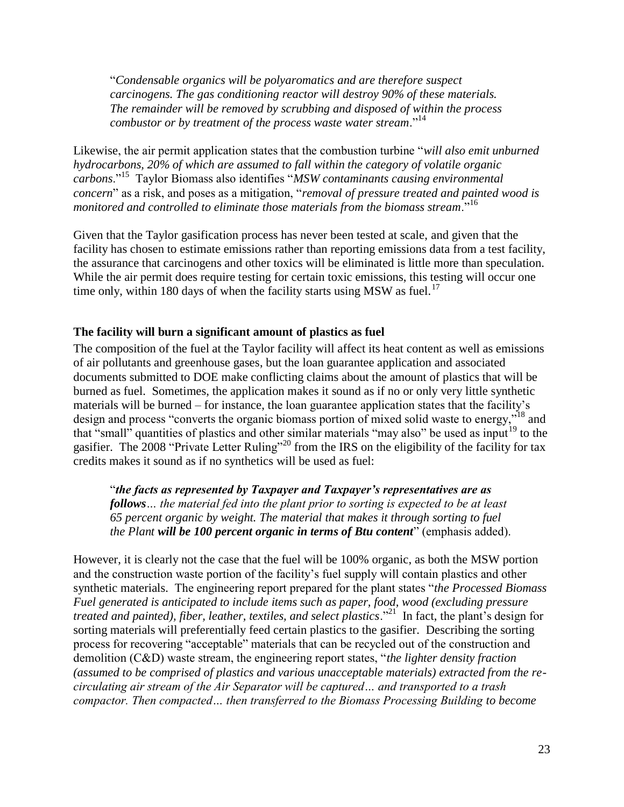"*Condensable organics will be polyaromatics and are therefore suspect carcinogens. The gas conditioning reactor will destroy 90% of these materials. The remainder will be removed by scrubbing and disposed of within the process combustor or by treatment of the process waste water stream*."<sup>14</sup>

Likewise, the air permit application states that the combustion turbine "*will also emit unburned hydrocarbons, 20% of which are assumed to fall within the category of volatile organic carbons*."<sup>15</sup> Taylor Biomass also identifies "*MSW contaminants causing environmental concern*" as a risk, and poses as a mitigation, "*removal of pressure treated and painted wood is monitored and controlled to eliminate those materials from the biomass stream*."<sup>16</sup>

Given that the Taylor gasification process has never been tested at scale, and given that the facility has chosen to estimate emissions rather than reporting emissions data from a test facility, the assurance that carcinogens and other toxics will be eliminated is little more than speculation. While the air permit does require testing for certain toxic emissions, this testing will occur one time only, within 180 days of when the facility starts using MSW as fuel.<sup>17</sup>

# <span id="page-22-0"></span>**The facility will burn a significant amount of plastics as fuel**

The composition of the fuel at the Taylor facility will affect its heat content as well as emissions of air pollutants and greenhouse gases, but the loan guarantee application and associated documents submitted to DOE make conflicting claims about the amount of plastics that will be burned as fuel. Sometimes, the application makes it sound as if no or only very little synthetic materials will be burned – for instance, the loan guarantee application states that the facility's design and process "converts the organic biomass portion of mixed solid waste to energy,"<sup>18</sup> and that "small" quantities of plastics and other similar materials "may also" be used as input<sup>19</sup> to the gasifier. The 2008 "Private Letter Ruling"<sup>20</sup> from the IRS on the eligibility of the facility for tax credits makes it sound as if no synthetics will be used as fuel:

"*the facts as represented by Taxpayer and Taxpayer's representatives are as follows… the material fed into the plant prior to sorting is expected to be at least 65 percent organic by weight. The material that makes it through sorting to fuel the Plant will be 100 percent organic in terms of Btu content*" (emphasis added).

However, it is clearly not the case that the fuel will be 100% organic, as both the MSW portion and the construction waste portion of the facility's fuel supply will contain plastics and other synthetic materials. The engineering report prepared for the plant states "*the Processed Biomass Fuel generated is anticipated to include items such as paper, food, wood (excluding pressure treated and painted), fiber, leather, textiles, and select plastics*."<sup>21</sup> In fact, the plant's design for sorting materials will preferentially feed certain plastics to the gasifier. Describing the sorting process for recovering "acceptable" materials that can be recycled out of the construction and demolition (C&D) waste stream, the engineering report states, "*the lighter density fraction (assumed to be comprised of plastics and various unacceptable materials) extracted from the recirculating air stream of the Air Separator will be captured… and transported to a trash compactor. Then compacted… then transferred to the Biomass Processing Building to become*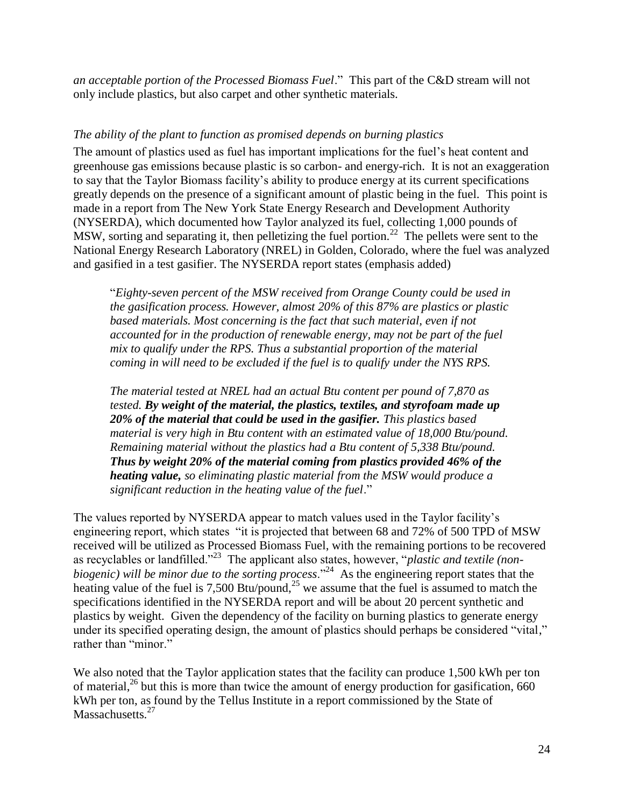*an acceptable portion of the Processed Biomass Fuel*." This part of the C&D stream will not only include plastics, but also carpet and other synthetic materials.

# <span id="page-23-0"></span>*The ability of the plant to function as promised depends on burning plastics*

The amount of plastics used as fuel has important implications for the fuel's heat content and greenhouse gas emissions because plastic is so carbon- and energy-rich. It is not an exaggeration to say that the Taylor Biomass facility's ability to produce energy at its current specifications greatly depends on the presence of a significant amount of plastic being in the fuel. This point is made in a report from The New York State Energy Research and Development Authority (NYSERDA), which documented how Taylor analyzed its fuel, collecting 1,000 pounds of MSW, sorting and separating it, then pelletizing the fuel portion.<sup>22</sup> The pellets were sent to the National Energy Research Laboratory (NREL) in Golden, Colorado, where the fuel was analyzed and gasified in a test gasifier. The NYSERDA report states (emphasis added)

"*Eighty-seven percent of the MSW received from Orange County could be used in the gasification process. However, almost 20% of this 87% are plastics or plastic*  based materials. Most concerning is the fact that such material, even if not *accounted for in the production of renewable energy, may not be part of the fuel mix to qualify under the RPS. Thus a substantial proportion of the material coming in will need to be excluded if the fuel is to qualify under the NYS RPS.*

*The material tested at NREL had an actual Btu content per pound of 7,870 as tested. By weight of the material, the plastics, textiles, and styrofoam made up 20% of the material that could be used in the gasifier. This plastics based material is very high in Btu content with an estimated value of 18,000 Btu/pound. Remaining material without the plastics had a Btu content of 5,338 Btu/pound. Thus by weight 20% of the material coming from plastics provided 46% of the heating value, so eliminating plastic material from the MSW would produce a significant reduction in the heating value of the fuel*."

The values reported by NYSERDA appear to match values used in the Taylor facility's engineering report, which states "it is projected that between 68 and 72% of 500 TPD of MSW received will be utilized as Processed Biomass Fuel, with the remaining portions to be recovered as recyclables or landfilled."<sup>23</sup> The applicant also states, however, "*plastic and textile (nonbiogenic) will be minor due to the sorting process*."<sup>24</sup> As the engineering report states that the heating value of the fuel is 7,500 Btu/pound,<sup>25</sup> we assume that the fuel is assumed to match the specifications identified in the NYSERDA report and will be about 20 percent synthetic and plastics by weight. Given the dependency of the facility on burning plastics to generate energy under its specified operating design, the amount of plastics should perhaps be considered "vital," rather than "minor."

We also noted that the Taylor application states that the facility can produce 1,500 kWh per ton of material, $^{26}$  but this is more than twice the amount of energy production for gasification, 660 kWh per ton, as found by the Tellus Institute in a report commissioned by the State of Massachusetts.<sup>27</sup>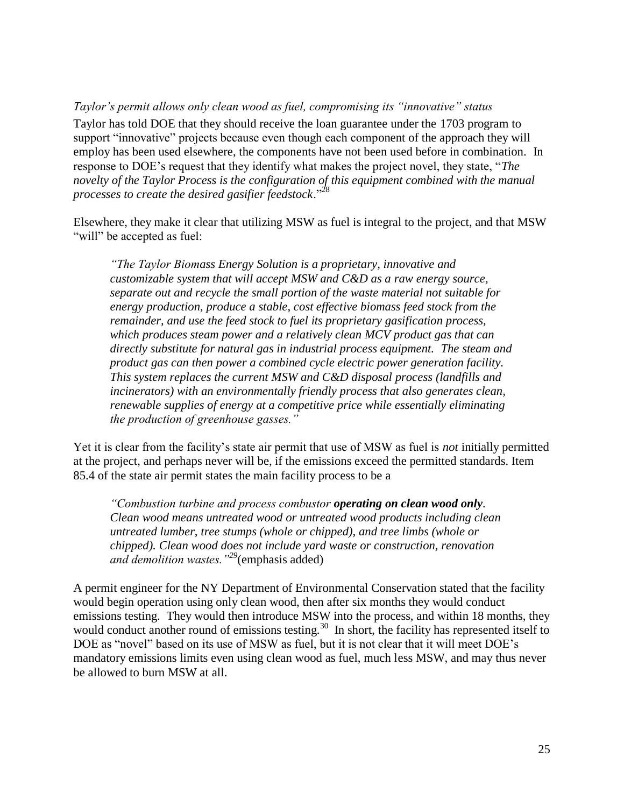<span id="page-24-0"></span>*Taylor's permit allows only clean wood as fuel, compromising its "innovative" status* Taylor has told DOE that they should receive the loan guarantee under the 1703 program to support "innovative" projects because even though each component of the approach they will employ has been used elsewhere, the components have not been used before in combination. In response to DOE's request that they identify what makes the project novel, they state, "*The novelty of the Taylor Process is the configuration of this equipment combined with the manual processes to create the desired gasifier feedstock*."<sup>28</sup>

Elsewhere, they make it clear that utilizing MSW as fuel is integral to the project, and that MSW "will" be accepted as fuel:

*"The Taylor Biomass Energy Solution is a proprietary, innovative and customizable system that will accept MSW and C&D as a raw energy source, separate out and recycle the small portion of the waste material not suitable for energy production, produce a stable, cost effective biomass feed stock from the remainder, and use the feed stock to fuel its proprietary gasification process, which produces steam power and a relatively clean MCV product gas that can directly substitute for natural gas in industrial process equipment. The steam and product gas can then power a combined cycle electric power generation facility. This system replaces the current MSW and C&D disposal process (landfills and incinerators) with an environmentally friendly process that also generates clean, renewable supplies of energy at a competitive price while essentially eliminating the production of greenhouse gasses."*

Yet it is clear from the facility's state air permit that use of MSW as fuel is *not* initially permitted at the project, and perhaps never will be, if the emissions exceed the permitted standards. Item 85.4 of the state air permit states the main facility process to be a

*"Combustion turbine and process combustor operating on clean wood only. Clean wood means untreated wood or untreated wood products including clean untreated lumber, tree stumps (whole or chipped), and tree limbs (whole or chipped). Clean wood does not include yard waste or construction, renovation and demolition wastes."<sup>29</sup>*(emphasis added)

A permit engineer for the NY Department of Environmental Conservation stated that the facility would begin operation using only clean wood, then after six months they would conduct emissions testing. They would then introduce MSW into the process, and within 18 months, they would conduct another round of emissions testing.<sup>30</sup> In short, the facility has represented itself to DOE as "novel" based on its use of MSW as fuel, but it is not clear that it will meet DOE's mandatory emissions limits even using clean wood as fuel, much less MSW, and may thus never be allowed to burn MSW at all.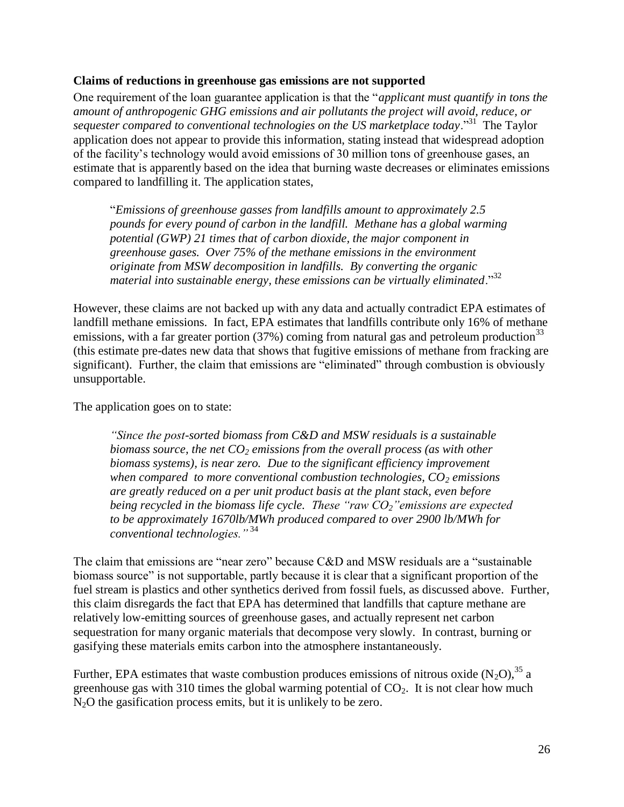## <span id="page-25-0"></span>**Claims of reductions in greenhouse gas emissions are not supported**

One requirement of the loan guarantee application is that the "*applicant must quantify in tons the amount of anthropogenic GHG emissions and air pollutants the project will avoid, reduce, or sequester compared to conventional technologies on the US marketplace today*."<sup>31</sup> The Taylor application does not appear to provide this information, stating instead that widespread adoption of the facility's technology would avoid emissions of 30 million tons of greenhouse gases, an estimate that is apparently based on the idea that burning waste decreases or eliminates emissions compared to landfilling it. The application states,

"*Emissions of greenhouse gasses from landfills amount to approximately 2.5 pounds for every pound of carbon in the landfill. Methane has a global warming potential (GWP) 21 times that of carbon dioxide, the major component in greenhouse gases. Over 75% of the methane emissions in the environment originate from MSW decomposition in landfills. By converting the organic material into sustainable energy, these emissions can be virtually eliminated*."<sup>32</sup>

However, these claims are not backed up with any data and actually contradict EPA estimates of landfill methane emissions. In fact, EPA estimates that landfills contribute only 16% of methane emissions, with a far greater portion  $(37%)$  coming from natural gas and petroleum production<sup>33</sup> (this estimate pre-dates new data that shows that fugitive emissions of methane from fracking are significant). Further, the claim that emissions are "eliminated" through combustion is obviously unsupportable.

The application goes on to state:

*"Since the post-sorted biomass from C&D and MSW residuals is a sustainable biomass source, the net CO<sup>2</sup> emissions from the overall process (as with other biomass systems), is near zero. Due to the significant efficiency improvement when compared to more conventional combustion technologies, CO<sup>2</sup> emissions are greatly reduced on a per unit product basis at the plant stack, even before being recycled in the biomass life cycle. These "raw CO2"emissions are expected to be approximately 1670lb/MWh produced compared to over 2900 lb/MWh for conventional technologies."* <sup>34</sup>

The claim that emissions are "near zero" because C&D and MSW residuals are a "sustainable biomass source" is not supportable, partly because it is clear that a significant proportion of the fuel stream is plastics and other synthetics derived from fossil fuels, as discussed above. Further, this claim disregards the fact that EPA has determined that landfills that capture methane are relatively low-emitting sources of greenhouse gases, and actually represent net carbon sequestration for many organic materials that decompose very slowly. In contrast, burning or gasifying these materials emits carbon into the atmosphere instantaneously.

Further, EPA estimates that waste combustion produces emissions of nitrous oxide  $(N_2O)$ ,  $35$  a greenhouse gas with 310 times the global warming potential of  $CO<sub>2</sub>$ . It is not clear how much N<sub>2</sub>O the gasification process emits, but it is unlikely to be zero.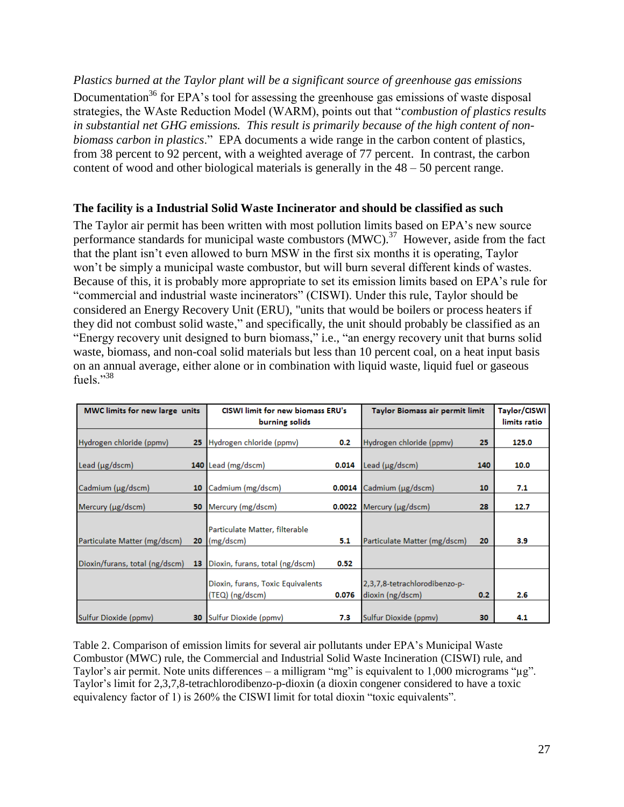<span id="page-26-0"></span>*Plastics burned at the Taylor plant will be a significant source of greenhouse gas emissions* Documentation<sup>36</sup> for EPA's tool for assessing the greenhouse gas emissions of waste disposal strategies, the WAste Reduction Model (WARM), points out that "*combustion of plastics results in substantial net GHG emissions. This result is primarily because of the high content of nonbiomass carbon in plastics*." EPA documents a wide range in the carbon content of plastics, from 38 percent to 92 percent, with a weighted average of 77 percent. In contrast, the carbon content of wood and other biological materials is generally in the 48 – 50 percent range.

# <span id="page-26-1"></span>**The facility is a Industrial Solid Waste Incinerator and should be classified as such**

The Taylor air permit has been written with most pollution limits based on EPA's new source performance standards for municipal waste combustors (MWC).<sup>37</sup> However, aside from the fact that the plant isn't even allowed to burn MSW in the first six months it is operating, Taylor won't be simply a municipal waste combustor, but will burn several different kinds of wastes. Because of this, it is probably more appropriate to set its emission limits based on EPA's rule for "commercial and industrial waste incinerators" (CISWI). Under this rule, Taylor should be considered an Energy Recovery Unit (ERU), "units that would be boilers or process heaters if they did not combust solid waste," and specifically, the unit should probably be classified as an "Energy recovery unit designed to burn biomass," i.e., "an energy recovery unit that burns solid waste, biomass, and non-coal solid materials but less than 10 percent coal, on a heat input basis on an annual average, either alone or in combination with liquid waste, liquid fuel or gaseous fuels."<sup>38</sup>

| MWC limits for new large units |    | CISWI limit for new biomass ERU's                       |       | Taylor Biomass air permit limit                   |                  | Taylor/CISWI |
|--------------------------------|----|---------------------------------------------------------|-------|---------------------------------------------------|------------------|--------------|
|                                |    | burning solids                                          |       |                                                   |                  | limits ratio |
| Hydrogen chloride (ppmv)       | 25 | Hydrogen chloride (ppmv)                                | 0.2   | Hydrogen chloride (ppmv)                          | 25               | 125.0        |
| Lead (µg/dscm)                 |    | 140 Lead (mg/dscm)                                      | 0.014 | Lead (µg/dscm)                                    | 140              | 10.0         |
| Cadmium (µg/dscm)              | 10 | Cadmium (mg/dscm)                                       |       | $0.0014$ Cadmium ( $\mu$ g/dscm)                  | 10               | 7.1          |
| Mercury (µg/dscm)              | 50 | Mercury (mg/dscm)                                       |       | $0.0022$ Mercury ( $\mu$ g/dscm)                  | 28               | 12.7         |
| Particulate Matter (mg/dscm)   | 20 | Particulate Matter, filterable<br>$\frac{1}{mg}$ (dscm) | 5.1   | Particulate Matter (mg/dscm)                      | 20               | 3.9          |
| Dioxin/furans, total (ng/dscm) | 13 | Dioxin, furans, total (ng/dscm)                         | 0.52  |                                                   |                  |              |
|                                |    | Dioxin, furans, Toxic Equivalents<br>(TEQ) (ng/dscm)    | 0.076 | 2,3,7,8-tetrachlorodibenzo-p-<br>dioxin (ng/dscm) | 0.2 <sub>0</sub> | 2.6          |
| Sulfur Dioxide (ppmv)          | 30 | Sulfur Dioxide (ppmv)                                   | 7.3   | Sulfur Dioxide (ppmv)                             | 30               | 4.1          |

Table 2. Comparison of emission limits for several air pollutants under EPA's Municipal Waste Combustor (MWC) rule, the Commercial and Industrial Solid Waste Incineration (CISWI) rule, and Taylor's air permit. Note units differences – a milligram "mg" is equivalent to 1,000 micrograms "µg". Taylor's limit for 2,3,7,8-tetrachlorodibenzo-p-dioxin (a dioxin congener considered to have a toxic equivalency factor of 1) is 260% the CISWI limit for total dioxin "toxic equivalents".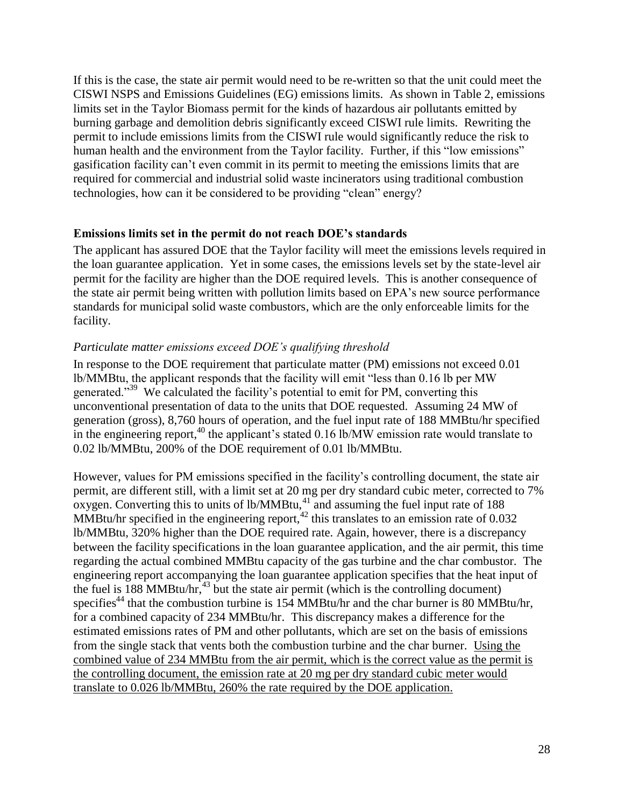If this is the case, the state air permit would need to be re-written so that the unit could meet the CISWI NSPS and Emissions Guidelines (EG) emissions limits. As shown in Table 2, emissions limits set in the Taylor Biomass permit for the kinds of hazardous air pollutants emitted by burning garbage and demolition debris significantly exceed CISWI rule limits. Rewriting the permit to include emissions limits from the CISWI rule would significantly reduce the risk to human health and the environment from the Taylor facility. Further, if this "low emissions" gasification facility can't even commit in its permit to meeting the emissions limits that are required for commercial and industrial solid waste incinerators using traditional combustion technologies, how can it be considered to be providing "clean" energy?

# <span id="page-27-0"></span>**Emissions limits set in the permit do not reach DOE's standards**

The applicant has assured DOE that the Taylor facility will meet the emissions levels required in the loan guarantee application. Yet in some cases, the emissions levels set by the state-level air permit for the facility are higher than the DOE required levels. This is another consequence of the state air permit being written with pollution limits based on EPA's new source performance standards for municipal solid waste combustors, which are the only enforceable limits for the facility.

# <span id="page-27-1"></span>*Particulate matter emissions exceed DOE's qualifying threshold*

In response to the DOE requirement that particulate matter (PM) emissions not exceed 0.01 lb/MMBtu, the applicant responds that the facility will emit "less than 0.16 lb per MW generated."<sup>39</sup> We calculated the facility's potential to emit for PM, converting this unconventional presentation of data to the units that DOE requested. Assuming 24 MW of generation (gross), 8,760 hours of operation, and the fuel input rate of 188 MMBtu/hr specified in the engineering report,  $40$  the applicant's stated 0.16 lb/MW emission rate would translate to 0.02 lb/MMBtu, 200% of the DOE requirement of 0.01 lb/MMBtu.

However, values for PM emissions specified in the facility's controlling document, the state air permit, are different still, with a limit set at 20 mg per dry standard cubic meter, corrected to 7%  $\alpha$  oxygen. Converting this to units of lb/MMBtu, $^{41}$  and assuming the fuel input rate of 188 MMBtu/hr specified in the engineering report, $42$  this translates to an emission rate of 0.032 lb/MMBtu, 320% higher than the DOE required rate. Again, however, there is a discrepancy between the facility specifications in the loan guarantee application, and the air permit, this time regarding the actual combined MMBtu capacity of the gas turbine and the char combustor. The engineering report accompanying the loan guarantee application specifies that the heat input of the fuel is  $188$  MMBtu/hr,<sup>43</sup> but the state air permit (which is the controlling document) specifies<sup>44</sup> that the combustion turbine is  $154$  MMBtu/hr and the char burner is 80 MMBtu/hr, for a combined capacity of 234 MMBtu/hr. This discrepancy makes a difference for the estimated emissions rates of PM and other pollutants, which are set on the basis of emissions from the single stack that vents both the combustion turbine and the char burner. Using the combined value of 234 MMBtu from the air permit, which is the correct value as the permit is the controlling document, the emission rate at 20 mg per dry standard cubic meter would translate to 0.026 lb/MMBtu, 260% the rate required by the DOE application.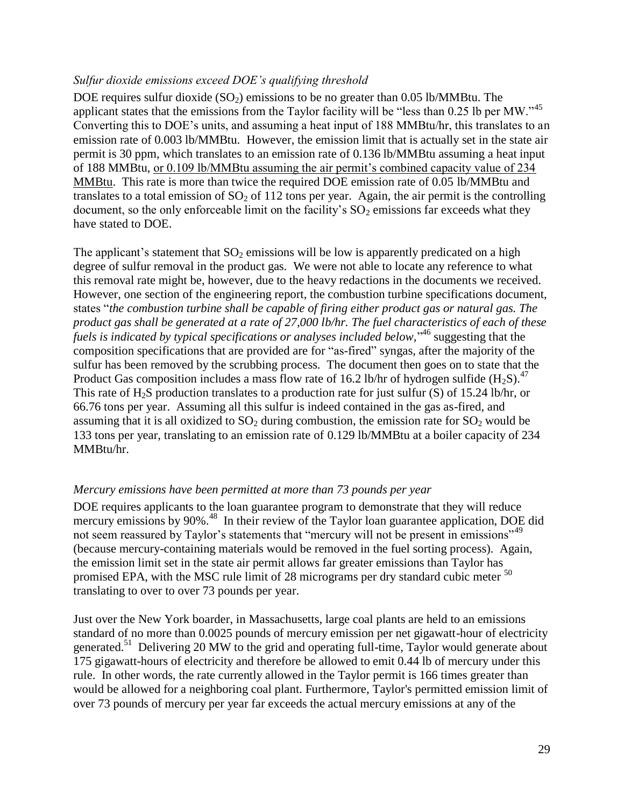# <span id="page-28-0"></span>*Sulfur dioxide emissions exceed DOE's qualifying threshold*

DOE requires sulfur dioxide  $(SO<sub>2</sub>)$  emissions to be no greater than 0.05 lb/MMBtu. The applicant states that the emissions from the Taylor facility will be "less than 0.25 lb per MW."<sup>45</sup> Converting this to DOE's units, and assuming a heat input of 188 MMBtu/hr, this translates to an emission rate of 0.003 lb/MMBtu. However, the emission limit that is actually set in the state air permit is 30 ppm, which translates to an emission rate of 0.136 lb/MMBtu assuming a heat input of 188 MMBtu, or 0.109 lb/MMBtu assuming the air permit's combined capacity value of 234 MMBtu. This rate is more than twice the required DOE emission rate of 0.05 lb/MMBtu and translates to a total emission of  $SO_2$  of 112 tons per year. Again, the air permit is the controlling document, so the only enforceable limit on the facility's  $SO_2$  emissions far exceeds what they have stated to DOE.

The applicant's statement that  $SO_2$  emissions will be low is apparently predicated on a high degree of sulfur removal in the product gas. We were not able to locate any reference to what this removal rate might be, however, due to the heavy redactions in the documents we received. However, one section of the engineering report, the combustion turbine specifications document, states "*the combustion turbine shall be capable of firing either product gas or natural gas. The product gas shall be generated at a rate of 27,000 lb/hr. The fuel characteristics of each of these fuels is indicated by typical specifications or analyses included below,*" <sup>46</sup> suggesting that the composition specifications that are provided are for "as-fired" syngas, after the majority of the sulfur has been removed by the scrubbing process. The document then goes on to state that the Product Gas composition includes a mass flow rate of 16.2 lb/hr of hydrogen sulfide  $(H_2S)^{47}$ . This rate of H<sub>2</sub>S production translates to a production rate for just sulfur (S) of 15.24 lb/hr, or 66.76 tons per year. Assuming all this sulfur is indeed contained in the gas as-fired, and assuming that it is all oxidized to  $SO<sub>2</sub>$  during combustion, the emission rate for  $SO<sub>2</sub>$  would be 133 tons per year, translating to an emission rate of 0.129 lb/MMBtu at a boiler capacity of 234 MMBtu/hr.

# <span id="page-28-1"></span>*Mercury emissions have been permitted at more than 73 pounds per year*

DOE requires applicants to the loan guarantee program to demonstrate that they will reduce mercury emissions by 90%.<sup>48</sup> In their review of the Taylor loan guarantee application, DOE did not seem reassured by Taylor's statements that "mercury will not be present in emissions"<sup>49</sup> (because mercury-containing materials would be removed in the fuel sorting process). Again, the emission limit set in the state air permit allows far greater emissions than Taylor has promised EPA, with the MSC rule limit of 28 micrograms per dry standard cubic meter <sup>50</sup> translating to over to over 73 pounds per year.

Just over the New York boarder, in Massachusetts, large coal plants are held to an emissions standard of no more than 0.0025 pounds of mercury emission per net gigawatt-hour of electricity generated.<sup>51</sup> Delivering 20 MW to the grid and operating full-time, Taylor would generate about 175 gigawatt-hours of electricity and therefore be allowed to emit 0.44 lb of mercury under this rule. In other words, the rate currently allowed in the Taylor permit is 166 times greater than would be allowed for a neighboring coal plant. Furthermore, Taylor's permitted emission limit of over 73 pounds of mercury per year far exceeds the actual mercury emissions at any of the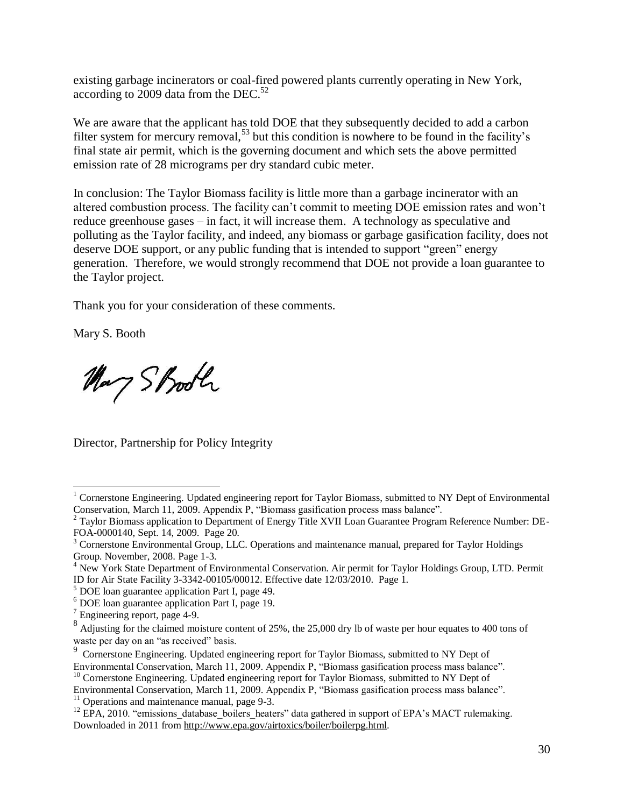existing garbage incinerators or coal-fired powered plants currently operating in New York, according to 2009 data from the DEC. $52$ 

We are aware that the applicant has told DOE that they subsequently decided to add a carbon filter system for mercury removal,  $53$  but this condition is nowhere to be found in the facility's final state air permit, which is the governing document and which sets the above permitted emission rate of 28 micrograms per dry standard cubic meter.

In conclusion: The Taylor Biomass facility is little more than a garbage incinerator with an altered combustion process. The facility can't commit to meeting DOE emission rates and won't reduce greenhouse gases – in fact, it will increase them. A technology as speculative and polluting as the Taylor facility, and indeed, any biomass or garbage gasification facility, does not deserve DOE support, or any public funding that is intended to support "green" energy generation. Therefore, we would strongly recommend that DOE not provide a loan guarantee to the Taylor project.

Thank you for your consideration of these comments.

Mary S. Booth

 $\overline{a}$ 

May Shooth

Director, Partnership for Policy Integrity

<sup>&</sup>lt;sup>1</sup> Cornerstone Engineering. Updated engineering report for Taylor Biomass, submitted to NY Dept of Environmental Conservation, March 11, 2009. Appendix P, "Biomass gasification process mass balance".

<sup>&</sup>lt;sup>2</sup> Taylor Biomass application to Department of Energy Title XVII Loan Guarantee Program Reference Number: DE-FOA-0000140, Sept. 14, 2009. Page 20.

<sup>&</sup>lt;sup>3</sup> Cornerstone Environmental Group, LLC. Operations and maintenance manual, prepared for Taylor Holdings Group. November, 2008. Page 1-3.

<sup>&</sup>lt;sup>4</sup> New York State Department of Environmental Conservation. Air permit for Taylor Holdings Group, LTD. Permit ID for Air State Facility 3-3342-00105/00012. Effective date 12/03/2010. Page 1.

<sup>5</sup> DOE loan guarantee application Part I, page 49.

<sup>6</sup> DOE loan guarantee application Part I, page 19.

<sup>&</sup>lt;sup>7</sup> Engineering report, page 4-9.

<sup>8</sup> Adjusting for the claimed moisture content of 25%, the 25,000 dry lb of waste per hour equates to 400 tons of waste per day on an "as received" basis.<br><sup>9</sup> Computere Engineering Hadded and

Cornerstone Engineering. Updated engineering report for Taylor Biomass, submitted to NY Dept of Environmental Conservation, March 11, 2009. Appendix P, "Biomass gasification process mass balance". <sup>10</sup> Cornerstone Engineering. Updated engineering report for Taylor Biomass, submitted to NY Dept of

Environmental Conservation, March 11, 2009. Appendix P, "Biomass gasification process mass balance".  $11$  Operations and maintenance manual, page 9-3.

<sup>&</sup>lt;sup>12</sup> EPA, 2010. "emissions database boilers heaters" data gathered in support of EPA's MACT rulemaking. Downloaded in 2011 from [http://www.epa.gov/airtoxics/boiler/boilerpg.html.](http://www.epa.gov/airtoxics/boiler/boilerpg.html)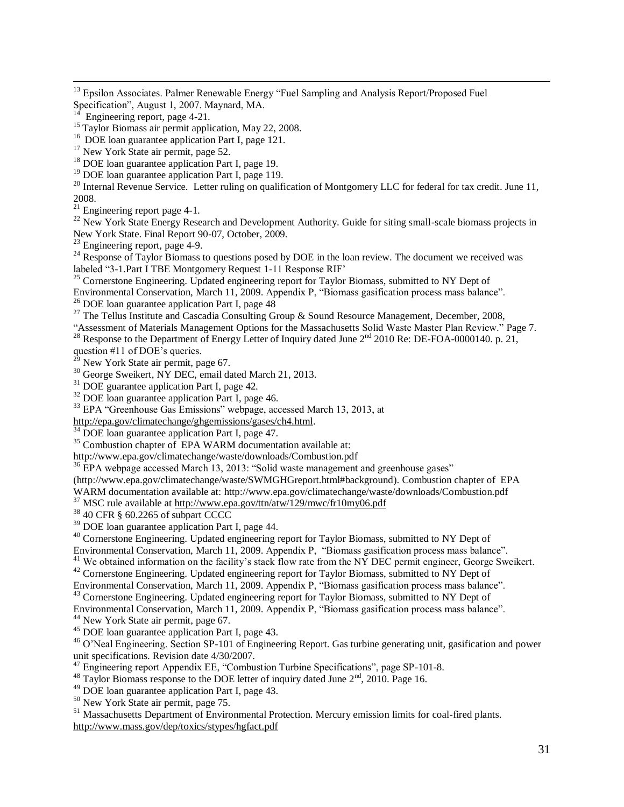<sup>13</sup> Epsilon Associates. Palmer Renewable Energy "Fuel Sampling and Analysis Report/Proposed Fuel Specification", August 1, 2007. Maynard, MA.

 $\overline{a}$ 

<sup>16</sup> DOE loan guarantee application Part I, page 121.

<sup>18</sup> DOE loan guarantee application Part I, page 19.

<sup>19</sup> DOE loan guarantee application Part I, page 119.

<sup>20</sup> Internal Revenue Service. Letter ruling on qualification of Montgomery LLC for federal for tax credit. June 11, 2008.

 $21$  Engineering report page 4-1.

<sup>22</sup> New York State Energy Research and Development Authority. Guide for siting small-scale biomass projects in New York State. Final Report 90-07, October, 2009.

 $23$  Engineering report, page 4-9.

<sup>24</sup> Response of Taylor Biomass to questions posed by DOE in the loan review. The document we received was labeled "3-1.Part I TBE Montgomery Request 1-11 Response RIF'

<sup>25</sup> Cornerstone Engineering. Updated engineering report for Taylor Biomass, submitted to NY Dept of

Environmental Conservation, March 11, 2009. Appendix P, "Biomass gasification process mass balance".

<sup>26</sup> DOE loan guarantee application Part I, page  $48$ 

<sup>27</sup> The Tellus Institute and Cascadia Consulting Group & Sound Resource Management, December, 2008,

"Assessment of Materials Management Options for the Massachusetts Solid Waste Master Plan Review." Page 7.

<sup>28</sup> Response to the Department of Energy Letter of Inquiry dated June  $2^{nd}$  2010 Re: DE-FOA-0000140. p. 21, question #11 of DOE's queries.

New York State air permit, page 67.

<sup>30</sup> George Sweikert, NY DEC, email dated March 21, 2013.

<sup>31</sup> DOE guarantee application Part I, page 42.

<sup>32</sup> DOE loan guarantee application Part I, page 46.

<sup>33</sup> EPA "Greenhouse Gas Emissions" webpage, accessed March 13, 2013, at

[http://epa.gov/climatechange/ghgemissions/gases/ch4.html.](http://epa.gov/climatechange/ghgemissions/gases/ch4.html)

<sup>34</sup> DOE loan guarantee application Part I, page 47.

<sup>35</sup> Combustion chapter of EPA WARM documentation available at:

http://www.epa.gov/climatechange/waste/downloads/Combustion.pdf

<sup>36</sup> EPA webpage accessed March 13, 2013: "Solid waste management and greenhouse gases"

(http://www.epa.gov/climatechange/waste/SWMGHGreport.html#background). Combustion chapter of EPA

WARM documentation available at: http://www.epa.gov/climatechange/waste/downloads/Combustion.pdf

<sup>37</sup> MSC rule available at<http://www.epa.gov/ttn/atw/129/mwc/fr10my06.pdf>

<sup>38</sup> 40 CFR § 60.2265 of subpart CCCC

<sup>39</sup> DOE loan guarantee application Part I, page 44.

<sup>40</sup> Cornerstone Engineering. Updated engineering report for Taylor Biomass, submitted to NY Dept of

Environmental Conservation, March 11, 2009. Appendix P, "Biomass gasification process mass balance".

<sup>41</sup> We obtained information on the facility's stack flow rate from the NY DEC permit engineer, George Sweikert.

<sup>42</sup> Cornerstone Engineering. Updated engineering report for Taylor Biomass, submitted to NY Dept of

Environmental Conservation, March 11, 2009. Appendix P, "Biomass gasification process mass balance". <sup>43</sup> Cornerstone Engineering. Updated engineering report for Taylor Biomass, submitted to NY Dept of

Environmental Conservation, March 11, 2009. Appendix P, "Biomass gasification process mass balance". <sup>44</sup> New York State air permit, page 67.

 $45$  DOE loan guarantee application Part I, page 43.

<sup>46</sup> O'Neal Engineering. Section SP-101 of Engineering Report. Gas turbine generating unit, gasification and power unit specifications. Revision date 4/30/2007.

 $47$  Engineering report Appendix EE, "Combustion Turbine Specifications", page SP-101-8.

 $^{48}$  Taylor Biomass response to the DOE letter of inquiry dated June  $2<sup>nd</sup>$ , 2010. Page 16.

<sup>49</sup> DOE loan guarantee application Part I, page 43.

<sup>50</sup> New York State air permit, page 75.

<sup>51</sup> Massachusetts Department of Environmental Protection. Mercury emission limits for coal-fired plants. <http://www.mass.gov/dep/toxics/stypes/hgfact.pdf>

Engineering report, page 4-21.

<sup>&</sup>lt;sup>15</sup> Taylor Biomass air permit application, May 22, 2008.

<sup>&</sup>lt;sup>17</sup> New York State air permit, page 52.